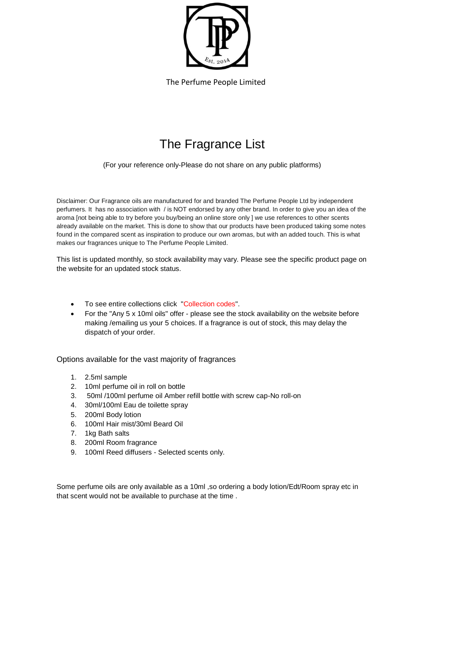

The Perfume People Limited

## The Fragrance List

(For your reference only-Please do not share on any public platforms)

Disclaimer: Our Fragrance oils are manufactured for and branded The Perfume People Ltd by independent perfumers. It has no association with / is NOT endorsed by any other brand. In order to give you an idea of the aroma [not being able to try before you buy/being an online store only ] we use references to other scents already available on the market. This is done to show that our products have been produced taking some notes found in the compared scent as inspiration to produce our own aromas, but with an added touch. This is what makes our fragrances unique to The Perfume People Limited.

This list is updated monthly, so stock availability may vary. Please see the specific product page on the website for an updated stock status.

- To see entire collections click "Collection codes".
- For the "Any 5 x 10ml oils" offer please see the stock availability on the website before making /emailing us your 5 choices. If a fragrance is out of stock, this may delay the dispatch of your order.

Options available for the vast majority of fragrances

- 1. 2.5ml sample
- 2. 10ml perfume oil in roll on bottle
- 3. 50ml /100ml perfume oil Amber refill bottle with screw cap-No roll-on
- 4. 30ml/100ml Eau de toilette spray
- 5. 200ml Body lotion
- 6. 100ml Hair mist/30ml Beard Oil
- 7. 1kg Bath salts
- 8. 200ml Room fragrance
- 9. 100ml Reed diffusers Selected scents only.

Some perfume oils are only available as a 10ml ,so ordering a body lotion/Edt/Room spray etc in that scent would not be available to purchase at the time .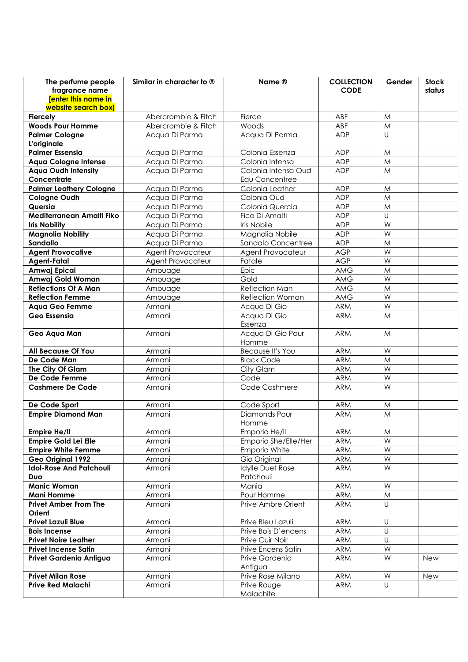| The perfume people                                  | Similar in character to $\circledR$ | Name ®                        | <b>COLLECTION</b>        | Gender                  | <b>Stock</b> |
|-----------------------------------------------------|-------------------------------------|-------------------------------|--------------------------|-------------------------|--------------|
| fragrance name                                      |                                     |                               | <b>CODE</b>              |                         | status       |
| <b>Tenter this name in</b><br>website search box]   |                                     |                               |                          |                         |              |
| <b>Fiercely</b>                                     | Abercrombie & Fitch                 | Fierce                        | ABF                      | M                       |              |
| <b>Woods Pour Homme</b>                             | Abercrombie & Fitch                 | Woods                         | ABF                      | M                       |              |
| <b>Palmer Cologne</b>                               | Acqua Di Parma                      | Acqua Di Parma                | <b>ADP</b>               | $\cup$                  |              |
| L'originale                                         |                                     |                               |                          |                         |              |
| <b>Palmer Essensia</b>                              | Acqua Di Parma                      | Colonia Essenza               | <b>ADP</b>               | M                       |              |
| <b>Aqua Cologne Intense</b>                         | Acqua Di Parma                      | Colonia Intensa               | <b>ADP</b>               | M                       |              |
| <b>Aqua Oudh Intensity</b>                          | Acqua Di Parma                      | Colonia Intensa Oud           | <b>ADP</b>               | M                       |              |
| Concentrate                                         |                                     | Eau Concentree                |                          |                         |              |
| <b>Palmer Leathery Cologne</b>                      | Acqua Di Parma                      | Colonia Leather               | <b>ADP</b>               | M                       |              |
| <b>Cologne Oudh</b>                                 | Acqua Di Parma                      | Colonia Oud                   | <b>ADP</b>               | M                       |              |
| Quersia                                             | Acqua Di Parma                      | Colonia Quercia               | <b>ADP</b>               | M                       |              |
| Mediterranean Amalfi Fiko                           | Acqua Di Parma                      | Fico Di Amalfi                | <b>ADP</b>               | U                       |              |
| <b>Iris Nobility</b>                                | Acqua Di Parma                      | Iris Nobile                   | <b>ADP</b>               | $\overline{\mathsf{W}}$ |              |
| <b>Magnolia Nobility</b>                            | Acqua Di Parma                      | Magnolia Nobile               | <b>ADP</b>               | W                       |              |
| <b>Sandallo</b>                                     | Acqua Di Parma                      | Sandalo Concentree            | <b>ADP</b>               | M                       |              |
| <b>Agent Provocative</b>                            | Agent Provocateur                   | Agent Provocateur             | <b>AGP</b>               | W                       |              |
| <b>Agent-Fatal</b>                                  | Agent Provocateur                   | Fatale                        | <b>AGP</b>               | W                       |              |
| Amwaj Epical                                        | Amouage                             | Epic                          | <b>AMG</b>               | M                       |              |
| Amwaj Gold Woman                                    | Amouage                             | Gold                          | <b>AMG</b>               | W                       |              |
| <b>Reflections Of A Man</b>                         | Amouage                             | Reflection Man                | <b>AMG</b>               | M<br>W                  |              |
| <b>Reflection Femme</b>                             | Amouage                             | <b>Reflection Woman</b>       | <b>AMG</b>               | W                       |              |
| Aqua Geo Femme<br>Geo Essensia                      | Armani<br>Armani                    | Acqua Di Gio<br>Acqua Di Gio  | <b>ARM</b><br><b>ARM</b> | M                       |              |
|                                                     |                                     | Essenza                       |                          |                         |              |
| Geo Aqua Man                                        | Armani                              | Acqua Di Gio Pour             | <b>ARM</b>               | M                       |              |
|                                                     |                                     | Homme                         |                          |                         |              |
| All Because Of You                                  | Armani                              | Because It's You              | <b>ARM</b>               | W                       |              |
| De Code Man                                         | Armani                              | <b>Black Code</b>             | <b>ARM</b>               | M                       |              |
| The City Of Glam                                    | Armani                              | City Glam                     | <b>ARM</b>               | W                       |              |
| De Code Femme                                       | Armani                              | Code                          | <b>ARM</b>               | W                       |              |
| <b>Cashmere De Code</b>                             | Armani                              | Code Cashmere                 | <b>ARM</b>               | W                       |              |
|                                                     |                                     |                               |                          |                         |              |
| De Code Sport                                       | Armani                              | Code Sport                    | <b>ARM</b>               | M                       |              |
| <b>Empire Diamond Man</b>                           | Armani                              | Diamonds Pour                 | <b>ARM</b>               | M                       |              |
|                                                     |                                     | Homme                         |                          |                         |              |
| Empire He/II                                        | Armanı                              | Emporio He/II                 | <b>ARM</b>               | M                       |              |
| <b>Empire Gold Lei Elle</b>                         | Armani                              | Emporio She/Elle/Her          | <b>ARM</b>               | W                       |              |
| <b>Empire White Femme</b>                           | Armani                              | Emporio White                 | <b>ARM</b>               | W                       |              |
| Geo Original 1992<br><b>Idol-Rose And Patchouli</b> | Armani                              | Gio Original                  | ARM                      | W<br>W                  |              |
| Duo                                                 | Armani                              | Idylle Duet Rose<br>Patchouli | <b>ARM</b>               |                         |              |
| <b>Manic Woman</b>                                  | Armani                              | Mania                         | <b>ARM</b>               | W                       |              |
| Mani Homme                                          | Armani                              | Pour Homme                    | ARM                      | M                       |              |
| <b>Privet Amber From The</b>                        | Armani                              | Prive Ambre Orient            | ARM                      | $\cup$                  |              |
| Orient                                              |                                     |                               |                          |                         |              |
| <b>Privet Lazuli Blue</b>                           | Armani                              | Prive Bleu Lazuli             | <b>ARM</b>               | U                       |              |
| <b>Bois Incense</b>                                 | Armani                              | Prive Bois D'encens           | ARM                      | U                       |              |
| <b>Privet Noire Leather</b>                         | Armani                              | Prive Cuir Noir               | ARM                      | U                       |              |
| <b>Privet Incense Satin</b>                         | Armani                              | Prive Encens Satin            | ARM                      | W                       |              |
| Privet Gardenia Antigua                             | Armani                              | Prive Gardenia                | <b>ARM</b>               | W                       | <b>New</b>   |
|                                                     |                                     | Antigua                       |                          |                         |              |
| <b>Privet Milan Rose</b>                            | Armani                              | Prive Rose Milano             | ARM                      | W                       | New          |
| <b>Prive Red Malachi</b>                            | Armani                              | Prive Rouge                   | ARM                      | $\cup$                  |              |
|                                                     |                                     | Malachite                     |                          |                         |              |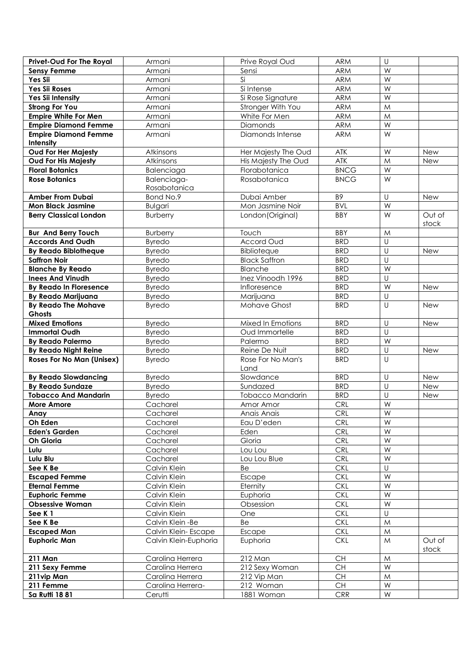| Privet-Oud For The Royal                                  | Armani                       | Prive Royal Oud                       | ARM                                      | U                       |            |
|-----------------------------------------------------------|------------------------------|---------------------------------------|------------------------------------------|-------------------------|------------|
| <b>Sensy Femme</b>                                        | Armani                       | Sensi                                 | <b>ARM</b>                               | $\overline{\mathsf{W}}$ |            |
| Yes Sii                                                   | Armani                       | Si                                    | <b>ARM</b>                               | W                       |            |
| Yes Sii Roses                                             | Armani                       | Si Intense                            | <b>ARM</b>                               | W                       |            |
| Yes Sii Intensity                                         | Armani                       | Si Rose Signature                     | <b>ARM</b>                               | W                       |            |
| <b>Strong For You</b>                                     | Armani                       | Stronger With You                     | <b>ARM</b>                               | M                       |            |
| <b>Empire White For Men</b>                               | Armani                       | White For Men                         | <b>ARM</b>                               | $\mathsf{M}$            |            |
| <b>Empire Diamond Femme</b>                               | Armani                       | Diamonds                              | ARM                                      | W                       |            |
| <b>Empire Diamond Femme</b>                               | Armani                       | Diamonds Intense                      | <b>ARM</b>                               | W                       |            |
| Intensity                                                 |                              |                                       |                                          |                         |            |
| <b>Oud For Her Majesty</b>                                | Atkinsons                    | Her Majesty The Oud                   | <b>ATK</b>                               | W                       | New        |
| <b>Oud For His Majesty</b>                                | Atkinsons                    | His Majesty The Oud                   | ATK                                      | M                       | New        |
| <b>Floral Botanics</b>                                    | Balenciaga                   | Florabotanica                         | <b>BNCG</b>                              | W                       |            |
| <b>Rose Botanics</b>                                      | Balenciaga-                  | Rosabotanica                          | <b>BNCG</b>                              | W                       |            |
|                                                           | Rosabotanica                 |                                       |                                          |                         |            |
| <b>Amber From Dubai</b>                                   | Bond No.9                    | Dubai Amber                           | B <sub>9</sub>                           | U<br>W                  | New        |
| <b>Mon Black Jasmine</b><br><b>Berry Classical London</b> | <b>Bulgari</b>               | Mon Jasmine Noir<br>London (Original) | <b>BVL</b><br><b>BBY</b>                 | W                       | Out of     |
|                                                           | <b>Burberry</b>              |                                       |                                          |                         |            |
| <b>Bur And Berry Touch</b>                                | <b>Burberry</b>              | Touch                                 | BBY                                      | M                       | stock      |
| <b>Accords And Oudh</b>                                   | <b>Byredo</b>                | Accord Oud                            | <b>BRD</b>                               | U                       |            |
| <b>By Reado Biblotheque</b>                               | <b>Byredo</b>                | Biblioteque                           | <b>BRD</b>                               | U                       | New        |
| <b>Saffron Noir</b>                                       | <b>Byredo</b>                | <b>Black Saffron</b>                  | <b>BRD</b>                               | U                       |            |
| <b>Blanche By Reado</b>                                   | <b>Byredo</b>                | Blanche                               | <b>BRD</b>                               | $\overline{\mathsf{W}}$ |            |
| <b>Inees And Vinudh</b>                                   | <b>Byredo</b>                | Inez Vinoodh 1996                     | <b>BRD</b>                               | U                       |            |
| <b>By Reado In Floresence</b>                             | <b>Byredo</b>                | Infloresence                          | <b>BRD</b>                               | W                       | <b>New</b> |
| <b>By Reado Marijuana</b>                                 | <b>Byredo</b>                | Marijuana                             | <b>BRD</b>                               | U                       |            |
| <b>By Reado The Mohave</b>                                | <b>Byredo</b>                | <b>Mohave Ghost</b>                   | <b>BRD</b>                               | U                       | <b>New</b> |
| <b>Ghosts</b>                                             |                              |                                       |                                          |                         |            |
| <b>Mixed Emotions</b>                                     | <b>Byredo</b>                | Mixed In Emotions                     | <b>BRD</b>                               | U                       | New        |
| <b>Immortal Oudh</b>                                      | <b>Byredo</b>                | Oud Immortelle                        | <b>BRD</b>                               | U                       |            |
| <b>By Reado Palermo</b>                                   | <b>Byredo</b>                | Palermo                               | <b>BRD</b>                               | W                       |            |
| <b>By Reado Night Reine</b>                               | <b>Byredo</b>                | Reine De Nuit                         | <b>BRD</b>                               | U                       | <b>New</b> |
| <b>Roses For No Man (Unisex)</b>                          | <b>Byredo</b>                | Rose For No Man's                     | <b>BRD</b>                               | U                       |            |
|                                                           |                              | Land                                  |                                          |                         |            |
| <b>By Reado Slowdancing</b>                               | <b>Byredo</b>                | Slowdance                             | <b>BRD</b>                               | U                       | New        |
| <b>By Reado Sundaze</b>                                   | <b>Byredo</b>                | Sundazed                              | <b>BRD</b>                               | U                       | New        |
| <b>Tobacco And Mandarin</b>                               | <b>Byredo</b>                | <b>Tobacco Mandarin</b>               | <b>BRD</b>                               | U                       | New        |
| <b>More Amore</b>                                         | Cacharel                     | Amor Amor                             | CRL                                      | W                       |            |
| Anay                                                      | Cacharel                     | Anais Anais                           | <b>CRL</b>                               | W                       |            |
| Oh Eden                                                   | Cacharel                     | Eau D'eden                            | CRL                                      | W                       |            |
| <b>Eden's Garden</b>                                      | Cacharel                     | Eden                                  | CRL                                      | W                       |            |
| Oh Gloria                                                 | Cacharel                     | Gloria                                | CRL                                      | W                       |            |
| Lulu                                                      | Cacharel                     | Lou Lou                               | CRL                                      | W                       |            |
| Lulu Blu                                                  | Cacharel                     | Lou Lou Blue                          | CRL                                      | W                       |            |
| See K Be                                                  | Calvin Klein                 | Вe                                    | <b>CKL</b>                               | U                       |            |
| <b>Escaped Femme</b>                                      | Calvin Klein                 | Escape                                | <b>CKL</b>                               | W                       |            |
| <b>Eternal Femme</b>                                      | Calvin Klein                 | Eternity                              | <b>CKL</b>                               | W<br>W                  |            |
| <b>Euphoric Femme</b><br><b>Obsessive Woman</b>           | Calvin Klein                 | Euphoria                              | <b>CKL</b><br><b>CKL</b>                 | W                       |            |
| See K1                                                    | Calvin Klein<br>Calvin Klein | Obsession<br>One                      | <b>CKL</b>                               | U                       |            |
| See K Be                                                  | Calvin Klein -Be             | Вe                                    | <b>CKL</b>                               | $\mathsf{M}$            |            |
| <b>Escaped Man</b>                                        | Calvin Klein-Escape          | Escape                                | <b>CKL</b>                               | ${\sf M}$               |            |
| <b>Euphoric Man</b>                                       | Calvin Klein-Euphoria        | Euphoria                              | <b>CKL</b>                               | M                       | Out of     |
|                                                           |                              |                                       |                                          |                         | stock      |
| <b>211 Man</b>                                            | Carolina Herrera             | 212 Man                               | CH                                       | ${\sf M}$               |            |
| 211 Sexy Femme                                            | Carolina Herrera             | 212 Sexy Woman                        | $\mathsf{CH}% \left( \mathcal{M}\right)$ | W                       |            |
| 211vip Man                                                | Carolina Herrera             | 212 Vip Man                           | $\mathsf{CH}% \left( \mathcal{M}\right)$ | ${\sf M}$               |            |
| 211 Femme                                                 | Carolina Herrera-            | 212 Woman                             | <b>CH</b>                                | W                       |            |
| Sa Rutti 18 81                                            | Cerutti                      | 1881 Woman                            | CRR                                      | W                       |            |
|                                                           |                              |                                       |                                          |                         |            |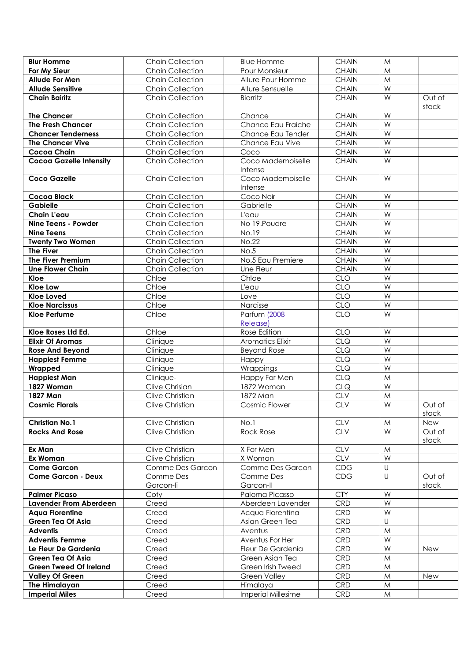| <b>Blur Homme</b>              | <b>Chain Collection</b> | <b>Blue Homme</b>       | <b>CHAIN</b> | M                       |        |
|--------------------------------|-------------------------|-------------------------|--------------|-------------------------|--------|
| For My Sieur                   | <b>Chain Collection</b> | Pour Monsieur           | <b>CHAIN</b> | M                       |        |
| <b>Allude For Men</b>          | <b>Chain Collection</b> | Allure Pour Homme       | <b>CHAIN</b> | M                       |        |
| <b>Allude Sensitive</b>        | <b>Chain Collection</b> | Allure Sensuelle        | <b>CHAIN</b> | W                       |        |
| <b>Chain Bairitz</b>           | <b>Chain Collection</b> | Biarritz                | <b>CHAIN</b> | W                       | Out of |
|                                |                         |                         |              |                         | stock  |
| <b>The Chancer</b>             | <b>Chain Collection</b> | Chance                  | <b>CHAIN</b> | W                       |        |
| <b>The Fresh Chancer</b>       | <b>Chain Collection</b> | Chance Eau Fraiche      | <b>CHAIN</b> | W                       |        |
| <b>Chancer Tenderness</b>      | <b>Chain Collection</b> | Chance Eau Tender       | <b>CHAIN</b> | W                       |        |
| <b>The Chancer Vive</b>        | <b>Chain Collection</b> | Chance Eau Vive         | <b>CHAIN</b> | W                       |        |
| <b>Cocoa Chain</b>             | <b>Chain Collection</b> | Coco                    | <b>CHAIN</b> | W                       |        |
| <b>Cocoa Gazelle Intensity</b> | <b>Chain Collection</b> | Coco Mademoiselle       | <b>CHAIN</b> | W                       |        |
|                                |                         | Intense                 |              |                         |        |
| <b>Coco Gazelle</b>            | <b>Chain Collection</b> | Coco Mademoiselle       | <b>CHAIN</b> | W                       |        |
|                                |                         | Intense                 |              |                         |        |
| <b>Cocoa Black</b>             | <b>Chain Collection</b> | Coco Noir               | <b>CHAIN</b> | W                       |        |
| <b>Gabielle</b>                | <b>Chain Collection</b> | Gabrielle               | <b>CHAIN</b> | W                       |        |
| Chain L'eau                    | <b>Chain Collection</b> | L'eau                   | <b>CHAIN</b> | W                       |        |
| <b>Nine Teens - Powder</b>     | <b>Chain Collection</b> | No 19. Poudre           | <b>CHAIN</b> | W                       |        |
| <b>Nine Teens</b>              | <b>Chain Collection</b> | No.19                   | <b>CHAIN</b> | W                       |        |
| <b>Twenty Two Women</b>        | <b>Chain Collection</b> | <b>No.22</b>            | <b>CHAIN</b> | W                       |        |
| <b>The Fiver</b>               | <b>Chain Collection</b> | No.5                    | <b>CHAIN</b> | W                       |        |
| <b>The Fiver Premium</b>       | <b>Chain Collection</b> | No.5 Eau Premiere       | <b>CHAIN</b> | W                       |        |
| <b>Une Flower Chain</b>        | <b>Chain Collection</b> | Une Fleur               | <b>CHAIN</b> | W                       |        |
| Kloe                           | Chloe                   | Chloe                   | <b>CLO</b>   | W                       |        |
| <b>Kloe Low</b>                | Chloe                   | L'eau                   | <b>CLO</b>   | $\overline{\mathsf{W}}$ |        |
| <b>Kloe Loved</b>              | Chloe                   | Love                    | <b>CLO</b>   | W                       |        |
| <b>Kloe Narcissus</b>          | Chloe                   | Narcisse                | <b>CLO</b>   | $\overline{\mathsf{W}}$ |        |
| Kloe Perfume                   | Chloe                   | Parfum (2008            | <b>CLO</b>   | W                       |        |
|                                |                         | Release)                |              |                         |        |
| Kloe Roses Ltd Ed.             | Chloe                   | <b>Rose Edition</b>     | <b>CLO</b>   | W                       |        |
| <b>Elixir Of Aromas</b>        | Clinique                | <b>Aromatics Elixir</b> | <b>CLQ</b>   | W                       |        |
| <b>Rose And Beyond</b>         | Clinique                | <b>Beyond Rose</b>      | <b>CLQ</b>   | W                       |        |
| <b>Happiest Femme</b>          | Clinique                | Happy                   | <b>CLQ</b>   | W                       |        |
| Wrapped                        | Clinique                | Wrappings               | <b>CLQ</b>   | W                       |        |
| <b>Happiest Man</b>            | Clinique-               | Happy For Men           | <b>CLQ</b>   | M                       |        |
| 1827 Woman                     | <b>Clive Chrisian</b>   | 1872 Woman              | <b>CLQ</b>   | W                       |        |
| 1827 Man                       | <b>Clive Christian</b>  | 1872 Man                | <b>CLV</b>   | M                       |        |
| <b>Cosmic Florals</b>          | <b>Clive Christian</b>  | <b>Cosmic Flower</b>    | <b>CLV</b>   | W                       | Out of |
|                                |                         |                         |              |                         | stock  |
| <b>Christian No.1</b>          | <b>Clive Christian</b>  | No.1                    | <b>CLV</b>   | M                       | New    |
| <b>Rocks And Rose</b>          | <b>Clive Christian</b>  | Rock Rose               | <b>CLV</b>   | W                       | Out of |
|                                |                         |                         |              |                         | stock  |
| Ex Man                         | <b>Clive Christian</b>  | X For Men               | <b>CLV</b>   | M                       |        |
| Ex Woman                       | <b>Clive Christian</b>  | X Woman                 | <b>CLV</b>   | W                       |        |
| <b>Come Garcon</b>             | Comme Des Garcon        | Comme Des Garcon        | CDG          | U                       |        |
| <b>Come Garcon - Deux</b>      | Comme Des               | Comme Des               | CDG          | $\cup$                  | Out of |
|                                | Garcon-li               | Garcon-II               |              |                         | stock  |
| <b>Palmer Picaso</b>           | Coty                    | Paloma Picasso          | <b>CTY</b>   | W                       |        |
| Lavender From Aberdeen         | Creed                   | Aberdeen Lavender       | CRD          | W                       |        |
| <b>Agua Florentine</b>         | Creed                   | Acqua Fiorentina        | CRD          | W                       |        |
| <b>Green Tea Of Asia</b>       | Creed                   | Asian Green Tea         | CRD          | U                       |        |
| <b>Adventis</b>                | Creed                   | Aventus                 | CRD          | M                       |        |
| <b>Adventis Femme</b>          | Creed                   | Aventus For Her         | CRD          | W                       |        |
| Le Fleur De Gardenia           | Creed                   | Fleur De Gardenia       | CRD          | W                       | New    |
| <b>Green Tea Of Asia</b>       | Creed                   | Green Asian Tea         | <b>CRD</b>   | M                       |        |
| <b>Green Tweed Of Ireland</b>  | Creed                   | Green Irish Tweed       | CRD          | M                       |        |
| <b>Valley Of Green</b>         | Creed                   | <b>Green Valley</b>     | <b>CRD</b>   | M                       | New    |
| The Himalayan                  | Creed                   | Himalaya                | CRD          | M                       |        |
| <b>Imperial Miles</b>          | Creed                   | Imperial Millesime      | CRD          | M                       |        |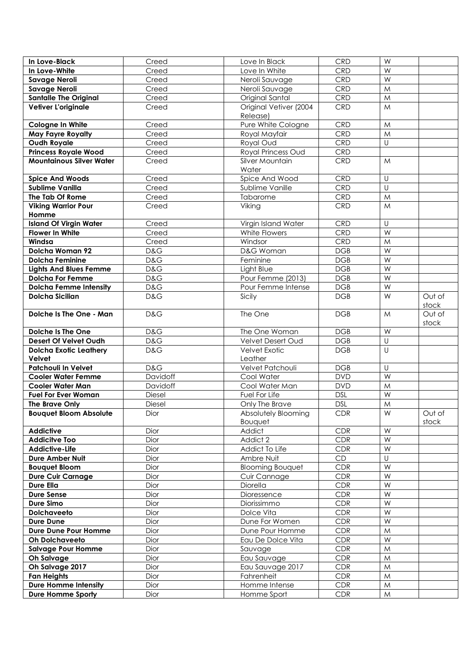| In Love-Black                                                  | Creed       | Love In Black                         | <b>CRD</b> | W                       |                 |
|----------------------------------------------------------------|-------------|---------------------------------------|------------|-------------------------|-----------------|
| In Love-White                                                  | Creed       | Love In White                         | CRD        | $\overline{\mathsf{W}}$ |                 |
| <b>Savage Neroli</b>                                           | Creed       | Neroli Sauvage                        | CRD        | W                       |                 |
| <b>Savage Neroli</b>                                           | Creed       | Neroli Sauvage                        | CRD        | $\mathsf{M}$            |                 |
| <b>Santalle The Original</b>                                   | Creed       | Original Santal                       | CRD        | $\mathsf{M}$            |                 |
| Vetiver L'originale                                            | Creed       | Original Vetiver (2004<br>Release)    | CRD        | M                       |                 |
|                                                                | Creed       | Pure White Cologne                    | CRD        |                         |                 |
| Cologne In White                                               |             |                                       |            | M                       |                 |
| <b>May Fayre Royalty</b>                                       | Creed       | Royal Mayfair                         | CRD        | M                       |                 |
| <b>Oudh Royale</b>                                             | Creed       | Royal Oud                             | CRD        | $\cup$                  |                 |
| <b>Princess Royale Wood</b><br><b>Mountainous Silver Water</b> | Creed       | Royal Princess Oud                    | CRD        |                         |                 |
|                                                                | Creed       | Silver Mountain<br>Water              | CRD        | M                       |                 |
| <b>Spice And Woods</b>                                         | Creed       | Spice And Wood                        | CRD        | U                       |                 |
| <b>Sublime Vanilla</b>                                         | Creed       | Sublime Vanille                       | CRD        | U                       |                 |
| The Tab Of Rome                                                | Creed       | Tabarome                              | CRD        | M                       |                 |
| <b>Viking Warrior Pour</b>                                     | Creed       | Viking                                | CRD        | M                       |                 |
| Homme                                                          |             |                                       |            |                         |                 |
| <b>Island Of Virgin Water</b>                                  | Creed       | Virgin Island Water                   | CRD        | U                       |                 |
| <b>Flower In White</b>                                         | Creed       | White Flowers                         | CRD        | W                       |                 |
| Windsa                                                         | Creed       | Windsor                               | CRD        | M                       |                 |
| Dolcha Woman 92                                                | D&G         | D&G Woman                             | DGB        | W                       |                 |
| <b>Dolcha Feminine</b>                                         | D&G         | Feminine                              | DGB        | W                       |                 |
| <b>Lights And Blues Femme</b>                                  | D&G         | Light Blue                            | DGB        | $\overline{\mathsf{W}}$ |                 |
| <b>Dolcha For Femme</b>                                        | D&G         | Pour Femme (2013)                     | DGB        | $\overline{\mathsf{W}}$ |                 |
| <b>Dolcha Femme Intensity</b>                                  | D&G         | Pour Femme Intense                    | DGB        | W                       |                 |
| <b>Dolcha Sicilian</b>                                         | D&G         | Sicily                                | DGB        | W                       | Out of          |
|                                                                |             |                                       |            |                         | stock           |
| Dolche Is The One - Man                                        | D&G         | The One                               | <b>DGB</b> | M                       | Out of          |
|                                                                |             |                                       |            |                         | stock           |
| <b>Dolche Is The One</b>                                       | D&G         | The One Woman                         | <b>DGB</b> | W                       |                 |
| Desert Of Velvet Oudh                                          | D&G         | Velvet Desert Oud                     | DGB        | $\cup$                  |                 |
| <b>Dolcha Exotic Leathery</b>                                  | D&G         | Velvet Exotic                         | DGB        | $\cup$                  |                 |
| Velvet                                                         |             | Leather                               |            |                         |                 |
| <b>Patchouli In Velvet</b>                                     | D&G         | Velvet Patchouli                      | DGB        | U                       |                 |
| <b>Cooler Water Femme</b>                                      | Davidoff    | Cool Water                            | <b>DVD</b> | W                       |                 |
| <b>Cooler Water Man</b>                                        | Davidoff    | Cool Water Man                        | <b>DVD</b> | M                       |                 |
| <b>Fuel For Ever Woman</b>                                     | Diesel      | Fuel For Life                         | <b>DSL</b> | W                       |                 |
| The Brave Only                                                 | Diesel      | Only The Brave                        | <b>DSL</b> | M                       |                 |
| <b>Bouquet Bloom Absolute</b>                                  | Dior        | Absolutely Blooming<br><b>Bouquet</b> | <b>CDR</b> | W                       | Out of<br>stock |
| <b>Addictive</b>                                               | Dior        | Addict                                | CDR        | W                       |                 |
| <b>Addicitve Too</b>                                           | <b>Dior</b> | Addict 2                              | <b>CDR</b> | W                       |                 |
| <b>Addictive-Life</b>                                          | Dior        | Addict To Life                        | <b>CDR</b> | W                       |                 |
| <b>Dure Amber Nuit</b>                                         | Dior        | Ambre Nuit                            | CD         | $\cup$                  |                 |
| <b>Bouquet Bloom</b>                                           | Dior        | <b>Blooming Bouquet</b>               | <b>CDR</b> | W                       |                 |
| <b>Dure Cuir Carnage</b>                                       | Dior        | Cuir Cannage                          | <b>CDR</b> | W                       |                 |
| Dure Ella                                                      | Dior        | Diorella                              | <b>CDR</b> | W                       |                 |
| <b>Dure Sense</b>                                              | Dior        | Dioressence                           | <b>CDR</b> | W                       |                 |
| Dure Simo                                                      | Dior        | Diorissimmo                           | <b>CDR</b> | W                       |                 |
| <b>Dolchaveeto</b>                                             | Dior        | Dolce Vita                            | <b>CDR</b> | W                       |                 |
| <b>Dure Dune</b>                                               | Dior        | Dune For Women                        | <b>CDR</b> | W                       |                 |
| Dure Dune Pour Homme                                           | Dior        | Dune Pour Homme                       | <b>CDR</b> | M                       |                 |
| <b>Oh Dolchaveeto</b>                                          | Dior        | Eau De Dolce Vita                     | CDR        | W                       |                 |
| <b>Salvage Pour Homme</b>                                      | Dior        | Sauvage                               | CDR        | M                       |                 |
| Oh Salvage                                                     | Dior        | Eau Sauvage                           | <b>CDR</b> | M                       |                 |
| Oh Salvage 2017                                                | Dior        | Eau Sauvage 2017                      | CDR        | M                       |                 |
| <b>Fan Heights</b>                                             | Dior        | Fahrenheit                            | CDR        | ${\sf M}$               |                 |
| <b>Dure Homme Intensity</b>                                    | Dior        | Homme Intense                         | <b>CDR</b> | M                       |                 |
| Dure Homme Sporty                                              | Dior        | Homme Sport                           | <b>CDR</b> | ${\sf M}$               |                 |
|                                                                |             |                                       |            |                         |                 |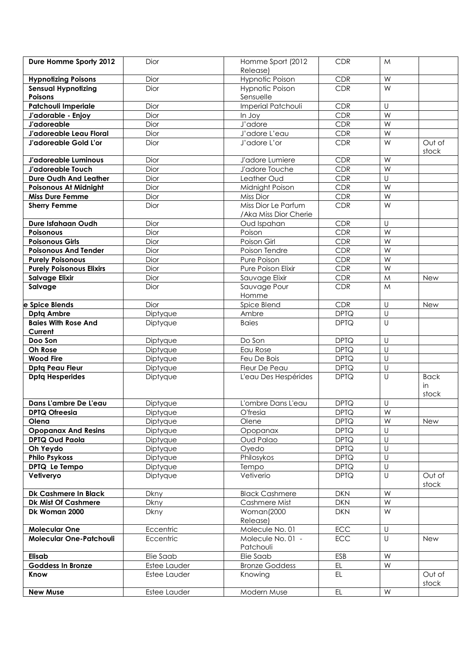| Dure Homme Sporty 2012                       | <b>Dior</b>  | Homme Sport (2012)                           | <b>CDR</b>  | M                       |                   |
|----------------------------------------------|--------------|----------------------------------------------|-------------|-------------------------|-------------------|
|                                              |              | Release)                                     |             | W                       |                   |
| <b>Hypnotizing Poisons</b>                   | Dior         | <b>Hypnotic Poison</b>                       | <b>CDR</b>  | W                       |                   |
| <b>Sensual Hypnotizing</b><br><b>Poisons</b> | <b>Dior</b>  | <b>Hypnotic Poison</b><br>Sensuelle          | <b>CDR</b>  |                         |                   |
| <b>Patchouli Imperiale</b>                   | Dior         | Imperial Patchouli                           | <b>CDR</b>  | U                       |                   |
| J'adorable - Enjoy                           | Dior         | In Joy                                       | <b>CDR</b>  | W                       |                   |
| <b>J'adoreable</b>                           | Dior         | J'adore                                      | <b>CDR</b>  | W                       |                   |
| J'adoreable Leau Floral                      | Dior         | J'adore L'eau                                | <b>CDR</b>  | W                       |                   |
| <b>J'adoreable Gold L'or</b>                 | <b>Dior</b>  | J'adore L'or                                 | <b>CDR</b>  | W                       | Out of<br>stock   |
| <b>J'adoreable Luminous</b>                  | Dior         | J'adore Lumiere                              | <b>CDR</b>  | W                       |                   |
| <b>J'adoreable Touch</b>                     | Dior         | J'adore Touche                               | <b>CDR</b>  | W                       |                   |
| Dure Oudh And Leather                        | <b>Dior</b>  | Leather Oud                                  | <b>CDR</b>  | $\cup$                  |                   |
| <b>Poisonous At Midnight</b>                 | Dior         | Midnight Poison                              | <b>CDR</b>  | W                       |                   |
| <b>Miss Dure Femme</b>                       | Dior         | Miss Dior                                    | <b>CDR</b>  | W                       |                   |
| <b>Sherry Femme</b>                          | Dior         | Miss Dior Le Parfum<br>/Aka Miss Dior Cherie | <b>CDR</b>  | W                       |                   |
| Dure Isfahaan Oudh                           | <b>Dior</b>  | Oud Ispahan                                  | <b>CDR</b>  | $\cup$                  |                   |
| Poisonous                                    | Dior         | Poison                                       | <b>CDR</b>  | W                       |                   |
| <b>Poisonous Girls</b>                       | Dior         | Poison Girl                                  | <b>CDR</b>  | W                       |                   |
| <b>Poisonous And Tender</b>                  | Dior         | Poison Tendre                                | <b>CDR</b>  | W                       |                   |
| <b>Purely Poisonous</b>                      | Dior         | Pure Poison                                  | <b>CDR</b>  | $\overline{\mathsf{W}}$ |                   |
| <b>Purely Poisonous Elixirs</b>              | Dior         | Pure Poison Elixir                           | <b>CDR</b>  | W                       |                   |
| <b>Salvage Elixir</b>                        | Dior         | Sauvage Elixir                               | <b>CDR</b>  | $\mathsf{M}$            | New               |
| Salvage                                      | <b>Dior</b>  | Sauvage Pour<br>Homme                        | <b>CDR</b>  | M                       |                   |
| e Spice Blends                               | <b>Dior</b>  | Spice Blend                                  | <b>CDR</b>  | $\cup$                  | New               |
| <b>Dptg Ambre</b>                            | Diptyque     | Ambre                                        | <b>DPTQ</b> | $\cup$                  |                   |
| <b>Baies With Rose And</b><br>Current        | Diptyque     | <b>Baies</b>                                 | <b>DPTQ</b> | $\cup$                  |                   |
| Doo Son                                      | Diptyque     | Do Son                                       | <b>DPTQ</b> | $\cup$                  |                   |
| Oh Rose                                      | Diptyque     | Eau Rose                                     | <b>DPTQ</b> | $\cup$                  |                   |
| <b>Wood Fire</b>                             | Diptyque     | Feu De Bois                                  | <b>DPTQ</b> | $\cup$                  |                   |
| <b>Dptg Peau Fleur</b>                       | Diptyque     | Fleur De Peau                                | <b>DPTQ</b> | $\cup$                  |                   |
| <b>Dptg Hesperides</b>                       | Diptyque     | L'eau Des Hespérides                         | <b>DPTQ</b> | $\cup$                  | <b>Back</b><br>in |
| Dans L'ambre De L'eau                        | Diptyque     | L'ombre Dans L'eau                           | <b>DPTQ</b> | U                       | stock             |
| <b>DPTQ Ofreesia</b>                         | Diptyque     | O'fresia                                     | <b>DPTQ</b> | W                       |                   |
| Olena                                        | Diptyque     | Olene                                        | <b>DPTQ</b> | W                       | New               |
| <b>Opopanax And Resins</b>                   | Diptyque     | Opopanax                                     | <b>DPTQ</b> | U                       |                   |
| <b>DPTQ Oud Paola</b>                        | Diptyque     | Oud Palao                                    | <b>DPTQ</b> | $\cup$                  |                   |
| Oh Yeydo                                     | Diptyque     | Oyedo                                        | <b>DPTQ</b> | $\cup$                  |                   |
| <b>Philo Psykoss</b>                         | Diptyque     | Philosykos                                   | <b>DPTQ</b> | $\cup$                  |                   |
| DPTQ Le Tempo                                | Diptyque     | Tempo                                        | <b>DPTQ</b> | $\cup$                  |                   |
| Vetiveryo                                    | Diptyque     | Vetiverio                                    | <b>DPTQ</b> | $\cup$                  | Out of<br>stock   |
| Dk Cashmere In Black                         | <b>Dkny</b>  | <b>Black Cashmere</b>                        | <b>DKN</b>  | W                       |                   |
| <b>Dk Mist Of Cashmere</b>                   | <b>Dkny</b>  | Cashmere Mist                                | <b>DKN</b>  | W                       |                   |
| Dk Woman 2000                                | <b>Dkny</b>  | Woman(2000<br>Release)                       | <b>DKN</b>  | W                       |                   |
| <b>Molecular One</b>                         | Eccentric    | Molecule No. 01                              | <b>ECC</b>  | $\cup$                  |                   |
| <b>Molecular One-Patchouli</b>               | Eccentric    | Molecule No. 01 -<br>Patchouli               | <b>ECC</b>  | $\cup$                  | <b>New</b>        |
| Elisab                                       | Elie Saab    | Elie Saab                                    | ESB         | W                       |                   |
| <b>Goddess In Bronze</b>                     | Estee Lauder | <b>Bronze Goddess</b>                        | EL          | W                       |                   |
| Know                                         | Estee Lauder | Knowing                                      | EL          |                         | Out of<br>stock   |
| <b>New Muse</b>                              | Estee Lauder | Modern Muse                                  | EL          | W                       |                   |
|                                              |              |                                              |             |                         |                   |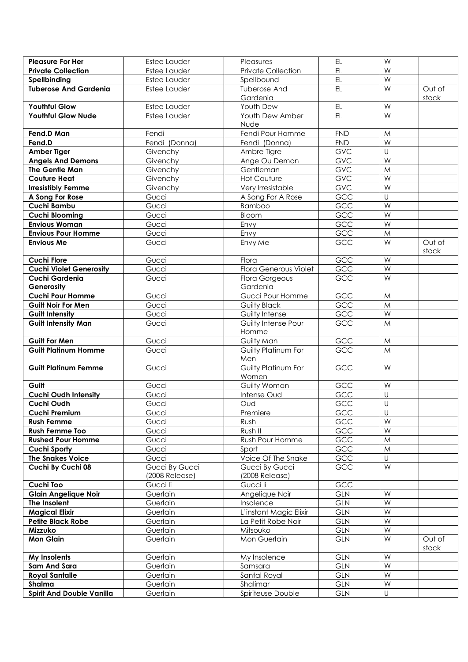| <b>Pleasure For Her</b>                      | Estee Lauder            | Pleasures                            | EL         | W                       |        |
|----------------------------------------------|-------------------------|--------------------------------------|------------|-------------------------|--------|
| <b>Private Collection</b>                    | Estee Lauder            | <b>Private Collection</b>            | EL         | W                       |        |
| Spellbinding                                 | Estee Lauder            | Spellbound                           | EL         | W                       |        |
| <b>Tuberose And Gardenia</b>                 | <b>Estee Lauder</b>     | <b>Tuberose And</b>                  | <b>EL</b>  | $\overline{W}$          | Out of |
|                                              |                         | Gardenia                             |            |                         | stock  |
| <b>Youthful Glow</b>                         | Estee Lauder            | Youth Dew                            | EL         | W                       |        |
| <b>Youthful Glow Nude</b>                    | <b>Estee Lauder</b>     | Youth Dew Amber                      | EL         | W                       |        |
|                                              |                         | Nude                                 |            |                         |        |
| Fend.D Man                                   | Fendi                   | Fendi Pour Homme                     | <b>FND</b> | M                       |        |
| Fend.D                                       | Fendi (Donna)           | Fendi (Donna)                        | <b>FND</b> | W                       |        |
| <b>Amber Tiger</b>                           | Givenchy                | Ambre Tigre                          | <b>GVC</b> | $\cup$                  |        |
| <b>Angels And Demons</b>                     | Givenchy                | Ange Ou Demon                        | GVC        | W                       |        |
| <b>The Gentle Man</b>                        | Givenchy                | Gentleman                            | <b>GVC</b> | M                       |        |
| <b>Couture Heat</b>                          | Givenchy                | <b>Hot Couture</b>                   | <b>GVC</b> | $\overline{\mathsf{W}}$ |        |
| <b>Irresistibly Femme</b>                    | Givenchy                | Very Irresistable                    | <b>GVC</b> | W                       |        |
| A Song For Rose                              | Gucci                   | A Song For A Rose                    | GCC        | $\cup$                  |        |
| <b>Cuchi Bambu</b>                           | Gucci                   | Bamboo                               | GCC        | W                       |        |
| <b>Cuchi Blooming</b>                        | Gucci                   | Bloom                                | GCC        | W                       |        |
| <b>Envious Woman</b>                         | Gucci                   | Envy                                 | GCC        | W                       |        |
| <b>Envious Pour Homme</b>                    | Gucci                   | Envy                                 | GCC        | M                       |        |
| <b>Envious Me</b>                            | Gucci                   | Envy Me                              | GCC        | W                       | Out of |
|                                              |                         |                                      |            |                         | stock  |
| <b>Cuchi Flore</b>                           | Gucci                   | Flora                                | GCC        | W                       |        |
| <b>Cuchi Violet Generosity</b>               | Gucci                   | Flora Generous Violet                | GCC        | W                       |        |
| <b>Cuchi Gardenia</b>                        | Gucci                   | Flora Gorgeous                       | GCC        | W                       |        |
|                                              |                         |                                      |            |                         |        |
| Generosity<br><b>Cuchi Pour Homme</b>        |                         | Gardenia<br>Gucci Pour Homme         | GCC        |                         |        |
|                                              | Gucci                   |                                      | GCC        | M                       |        |
| <b>Guilt Noir For Men</b>                    | Gucci                   | <b>Guilty Black</b>                  | GCC        | $\mathsf{M}$<br>W       |        |
| <b>Guilt Intensity</b>                       | Gucci                   | Guilty Intense                       |            |                         |        |
| <b>Guilt Intensity Man</b>                   | Gucci                   | Guilty Intense Pour                  | GCC        | M                       |        |
| <b>Guilt For Men</b>                         |                         | Homme                                |            |                         |        |
|                                              | Gucci                   | Guilty Man                           | GCC        | M                       |        |
| <b>Guilt Platinum Homme</b>                  | Gucci                   | Guilty Platinum For                  | GCC        | M                       |        |
| <b>Guilt Platinum Femme</b>                  |                         | Men<br>Guilty Platinum For           | GCC        | W                       |        |
|                                              | Gucci                   |                                      |            |                         |        |
| Guilt                                        | Gucci                   | Women<br>Guilty Woman                | GCC        | W                       |        |
| <b>Cuchi Oudh Intensity</b>                  | Gucci                   |                                      | GCC        | $\cup$                  |        |
| Cuchi Oudh                                   | Gucci                   | Intense Oud<br>Oud                   | GCC        | $\cup$                  |        |
| <b>Cuchi Premium</b>                         | Gucci                   |                                      | GCC        | U                       |        |
|                                              | Gucci                   | Premiere<br>Rush                     | GCC        | W                       |        |
| <b>Rush Femme</b><br><b>Rush Femme Too</b>   | Gucci                   | Rush II                              | GCC        | W                       |        |
| <b>Rushed Pour Homme</b>                     |                         |                                      | GCC        |                         |        |
|                                              | Gucci<br>Gucci          | Rush Pour Homme                      |            | M<br>M                  |        |
| <b>Cuchi Sporty</b>                          |                         | Sport                                | GCC        |                         |        |
| <b>The Snakes Voice</b><br>Cuchi By Cuchi 08 | Gucci<br>Gucci By Gucci | Voice Of The Snake<br>Gucci By Gucci | GCC<br>GCC | U<br>W                  |        |
|                                              | (2008 Release)          | (2008 Release)                       |            |                         |        |
| <b>Cuchi Too</b>                             | Gucci li                | Gucci li                             | GCC        |                         |        |
|                                              |                         | Angelique Noir                       | <b>GLN</b> | W                       |        |
| <b>Glain Angelique Noir</b>                  | Guerlain                |                                      |            | W                       |        |
| The Insolent                                 | Guerlain                | Insolence                            | <b>GLN</b> |                         |        |
| <b>Magical Elixir</b>                        | Guerlain                | L'instant Magic Elixir               | <b>GLN</b> | W<br>W                  |        |
| <b>Petite Black Robe</b>                     | Guerlain                | La Petit Robe Noir                   | <b>GLN</b> |                         |        |
| Mizzuko                                      | Guerlain                | Mitsouko                             | <b>GLN</b> | W                       |        |
| <b>Mon Glain</b>                             | Guerlain                | Mon Guerlain                         | <b>GLN</b> | W                       | Out of |
|                                              |                         |                                      |            |                         | stock  |
| My Insolents                                 | Guerlain                | My Insolence                         | <b>GLN</b> | W                       |        |
| Sam And Sara                                 | Guerlain                | Samsara                              | <b>GLN</b> | W                       |        |
| <b>Royal Santalle</b>                        | Guerlain                | Santal Royal                         | <b>GLN</b> | W                       |        |
| Shalma                                       | Guerlain                | Shalimar                             | <b>GLN</b> | W                       |        |
| <b>Spirit And Double Vanilla</b>             | Guerlain                | Spiriteuse Double                    | <b>GLN</b> | $\cup$                  |        |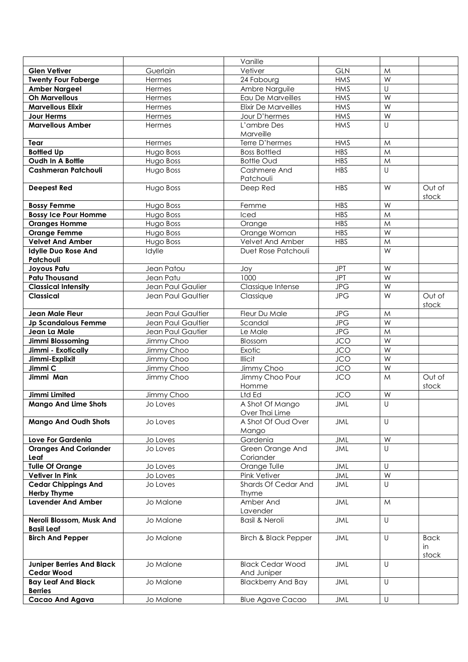|                                             |                    | Vanille                         |            |                         |                 |
|---------------------------------------------|--------------------|---------------------------------|------------|-------------------------|-----------------|
| <b>Glen Vetiver</b>                         | Guerlain           | Vetiver                         | <b>GLN</b> | M                       |                 |
| <b>Twenty Four Faberge</b>                  | Hermes             | 24 Fabourg                      | <b>HMS</b> | W                       |                 |
| <b>Amber Nargeel</b>                        | Hermes             | Ambre Narguile                  | <b>HMS</b> | U                       |                 |
| <b>Oh Marvellous</b>                        | Hermes             | Eau De Marveilles               | <b>HMS</b> | $\overline{\mathsf{W}}$ |                 |
| <b>Marvellous Elixir</b>                    | Hermes             | <b>Elixir De Marveilles</b>     | <b>HMS</b> | W                       |                 |
| <b>Jour Herms</b>                           | Hermes             | Jour D'hermes                   | <b>HMS</b> | W                       |                 |
| <b>Marvellous Amber</b>                     | Hermes             | L'ambre Des<br>Marveille        | <b>HMS</b> | $\cup$                  |                 |
| <b>Tear</b>                                 | Hermes             | Terre D'hermes                  | <b>HMS</b> | M                       |                 |
| <b>Bottled Up</b>                           | Hugo Boss          | <b>Boss Bottled</b>             | <b>HBS</b> | M                       |                 |
| Oudh In A Bottle                            | Hugo Boss          | <b>Bottle Oud</b>               | <b>HBS</b> | M                       |                 |
| <b>Cashmeran Patchouli</b>                  | Hugo Boss          | Cashmere And                    | <b>HBS</b> | $\cup$                  |                 |
|                                             |                    | Patchouli                       |            |                         |                 |
| <b>Deepest Red</b>                          | Hugo Boss          | Deep Red                        | <b>HBS</b> | W                       | Out of          |
|                                             |                    |                                 |            |                         | stock           |
| <b>Bossy Femme</b>                          | Hugo Boss          | Femme                           | <b>HBS</b> | W                       |                 |
| <b>Bossy Ice Pour Homme</b>                 | Hugo Boss          | Iced                            | <b>HBS</b> | M                       |                 |
| <b>Oranges Homme</b>                        | Hugo Boss          | Orange                          | <b>HBS</b> | M                       |                 |
| <b>Orange Femme</b>                         | Hugo Boss          | Orange Woman                    | <b>HBS</b> | W                       |                 |
| <b>Velvet And Amber</b>                     | Hugo Boss          | Velvet And Amber                | <b>HBS</b> | M                       |                 |
| <b>Idylle Duo Rose And</b><br>Patchouli     | Idylle             | Duet Rose Patchouli             |            | W                       |                 |
| Joyous Patu                                 | Jean Patou         | Joy                             | <b>JPT</b> | W                       |                 |
| <b>Patu Thousand</b>                        | Jean Patu          | 1000                            | <b>JPT</b> | W                       |                 |
| <b>Classical Intensity</b>                  | Jean Paul Gaulier  | Classique Intense               | <b>JPG</b> | W                       |                 |
| <b>Classical</b>                            | Jean Paul Gaultier | Classique                       | <b>JPG</b> | W                       | Out of<br>stock |
| <b>Jean Male Fleur</b>                      | Jean Paul Gaultier | Fleur Du Male                   | <b>JPG</b> | M                       |                 |
| <b>Jp Scandalous Femme</b>                  | Jean Paul Gaultier | Scandal                         | <b>JPG</b> | W                       |                 |
| Jean La Male                                | Jean Paul Gautier  | Le Male                         | <b>JPG</b> | M                       |                 |
| Jimmi Blossoming                            | Jimmy Choo         | Blossom                         | <b>JCO</b> | W                       |                 |
| Jimmi - Exotically                          | Jimmy Choo         | Exotic                          | <b>JCO</b> | $\overline{\mathsf{W}}$ |                 |
| Jimmi-Explixit                              | Jimmy Choo         | <b>Illicit</b>                  | <b>JCO</b> | W                       |                 |
| Jimmi C                                     | Jimmy Choo         | Jimmy Choo                      | <b>JCO</b> | $\overline{\mathsf{W}}$ |                 |
| Jimmi Man                                   | Jimmy Choo         | Jimmy Choo Pour<br>Homme        | <b>JCO</b> | M                       | Out of<br>stock |
| Jimmi Limited                               | Jimmy Choo         | Ltd Ed                          | <b>JCO</b> | W                       |                 |
| <b>Mango And Lime Shots</b>                 | Jo Loves           | A Shot Of Mango                 | <b>JML</b> | $\cup$                  |                 |
|                                             |                    | Over Thai Lime                  |            |                         |                 |
| <b>Mango And Oudh Shots</b>                 | Jo Loves           | A Shot Of Oud Over              | <b>JML</b> | $\cup$                  |                 |
|                                             |                    | Mango                           |            |                         |                 |
| Love For Gardenia                           | Jo Loves           | Gardenia                        | JML        | W                       |                 |
| <b>Oranges And Coriander</b><br>Leaf        | Jo Loves           | Green Orange And<br>Coriander   | JML        | $\cup$                  |                 |
| <b>Tulle Of Orange</b>                      | Jo Loves           | Orange Tulle                    | <b>JML</b> | $\cup$                  |                 |
| <b>Vetiver In Pink</b>                      | Jo Loves           | Pink Vetiver                    | <b>JML</b> | $\overline{\mathsf{W}}$ |                 |
| <b>Cedar Chippings And</b>                  | Jo Loves           | Shards Of Cedar And             | JML        | $\cup$                  |                 |
| <b>Herby Thyme</b>                          |                    | <b>Thyme</b>                    |            |                         |                 |
| <b>Lavender And Amber</b>                   | Jo Malone          | Amber And                       | <b>JML</b> | M                       |                 |
|                                             |                    | Lavender                        |            |                         |                 |
| Neroli Blossom, Musk And                    | Jo Malone          | <b>Basil &amp; Neroli</b>       | <b>JML</b> | $\cup$                  |                 |
| <b>Basil Leaf</b>                           |                    |                                 |            |                         |                 |
| <b>Birch And Pepper</b>                     | Jo Malone          | <b>Birch &amp; Black Pepper</b> | <b>JML</b> | $\cup$                  | <b>Back</b>     |
|                                             |                    |                                 |            |                         | in              |
|                                             |                    |                                 |            |                         | stock           |
| <b>Juniper Berries And Black</b>            | Jo Malone          | <b>Black Cedar Wood</b>         | <b>JML</b> | $\cup$                  |                 |
| <b>Cedar Wood</b>                           |                    | And Juniper                     |            |                         |                 |
| <b>Bay Leaf And Black</b><br><b>Berries</b> | Jo Malone          | <b>Blackberry And Bay</b>       | <b>JML</b> | U                       |                 |
| <b>Cacao And Agava</b>                      | Jo Malone          | <b>Blue Agave Cacao</b>         | JML        | $\sf U$                 |                 |
|                                             |                    |                                 |            |                         |                 |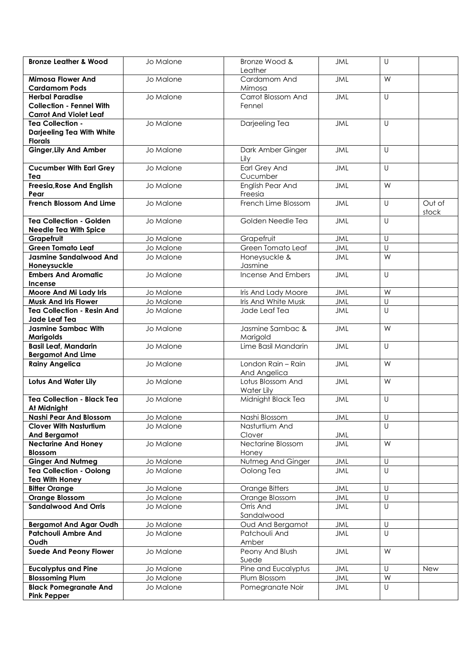| <b>Bronze Leather &amp; Wood</b>                                                           | Jo Malone | Bronze Wood &<br>Leather           | <b>JML</b> | $\cup$  |                 |
|--------------------------------------------------------------------------------------------|-----------|------------------------------------|------------|---------|-----------------|
| <b>Mimosa Flower And</b><br><b>Cardamom Pods</b>                                           | Jo Malone | Cardamom And<br>Mimosa             | <b>JML</b> | W       |                 |
| <b>Herbal Paradise</b><br><b>Collection - Fennel With</b><br><b>Carrot And Violet Leaf</b> | Jo Malone | Carrot Blossom And<br>Fennel       | <b>JML</b> | $\cup$  |                 |
| <b>Tea Collection -</b><br>Darjeeling Tea With White<br><b>Florals</b>                     | Jo Malone | Darjeeling Tea                     | <b>JML</b> | U       |                 |
| <b>Ginger, Lily And Amber</b>                                                              | Jo Malone | Dark Amber Ginger<br>Lily          | JML        | $\cup$  |                 |
| <b>Cucumber With Earl Grey</b><br>Tea                                                      | Jo Malone | Earl Grey And<br>Cucumber          | <b>JML</b> | $\cup$  |                 |
| Freesia, Rose And English<br>Pear                                                          | Jo Malone | <b>English Pear And</b><br>Freesia | <b>JML</b> | W       |                 |
| <b>French Blossom And Lime</b>                                                             | Jo Malone | French Lime Blossom                | <b>JML</b> | $\cup$  | Out of<br>stock |
| <b>Tea Collection - Golden</b><br><b>Needle Tea With Spice</b>                             | Jo Malone | Golden Needle Tea                  | <b>JML</b> | $\cup$  |                 |
| Grapefruit                                                                                 | Jo Malone | Grapefruit                         | <b>JML</b> | $\cup$  |                 |
| <b>Green Tomato Leaf</b>                                                                   | Jo Malone | Green Tomato Leaf                  | <b>JML</b> | $\cup$  |                 |
| <b>Jasmine Sandalwood And</b><br>Honeysuckle                                               | Jo Malone | Honeysuckle &<br>Jasmine           | <b>JML</b> | W       |                 |
| <b>Embers And Aromatic</b><br><b>Incense</b>                                               | Jo Malone | Incense And Embers                 | <b>JML</b> | U       |                 |
| Moore And Mi Lady Iris                                                                     | Jo Malone | Iris And Lady Moore                | <b>JML</b> | W       |                 |
| <b>Musk And Iris Flower</b>                                                                | Jo Malone | Iris And White Musk                | JML        | $\cup$  |                 |
| <b>Tea Collection - Resin And</b><br>Jade Leaf Tea                                         | Jo Malone | Jade Leaf Tea                      | <b>JML</b> | U       |                 |
| <b>Jasmine Sambac With</b><br><b>Marigolds</b>                                             | Jo Malone | Jasmine Sambac &<br>Marigold       | <b>JML</b> | W       |                 |
| <b>Basil Leaf, Mandarin</b><br><b>Bergamot And Lime</b>                                    | Jo Malone | Lime Basil Mandarin                | <b>JML</b> | U       |                 |
| <b>Rainy Angelica</b>                                                                      | Jo Malone | London Rain - Rain<br>And Angelica | <b>JML</b> | W       |                 |
| <b>Lotus And Water Lily</b>                                                                | Jo Malone | Lotus Blossom And<br>Water Lily    | <b>JML</b> | W       |                 |
| <b>Tea Collection - Black Tea</b><br>At Midnight                                           | Jo Malone | Midnight Black Tea                 | <b>JML</b> | $\cup$  |                 |
| <b>Nashi Pear And Blossom</b>                                                              | Jo Malone | Nashi Blossom                      | JML        | U       |                 |
| <b>Clover With Nasturtium</b><br>And Bergamot                                              | Jo Malone | Nasturtium And<br>Clover           | JML        | $\cup$  |                 |
| <b>Nectarine And Honey</b><br><b>Blossom</b>                                               | Jo Malone | Nectarine Blossom<br>Honey         | JML        | W       |                 |
| <b>Ginger And Nutmeg</b>                                                                   | Jo Malone | Nutmeg And Ginger                  | JML        | $\sf U$ |                 |
| <b>Tea Collection - Oolong</b><br><b>Tea With Honey</b>                                    | Jo Malone | Oolong Tea                         | <b>JML</b> | U       |                 |
| <b>Bitter Orange</b>                                                                       | Jo Malone | Orange Bitters                     | <b>JML</b> | $\cup$  |                 |
| <b>Orange Blossom</b>                                                                      | Jo Malone | Orange Blossom                     | <b>JML</b> | U       |                 |
| <b>Sandalwood And Orris</b>                                                                | Jo Malone | Orris And<br>Sandalwood            | <b>JML</b> | U       |                 |
| <b>Bergamot And Agar Oudh</b>                                                              | Jo Malone | Oud And Bergamot                   | JML        | $\sf U$ |                 |
| <b>Patchouli Ambre And</b><br>Oudh                                                         | Jo Malone | Patchouli And<br>Amber             | JML        | $\cup$  |                 |
| <b>Suede And Peony Flower</b>                                                              | Jo Malone | Peony And Blush<br>Suede           | <b>JML</b> | W       |                 |
| <b>Eucalyptus and Pine</b>                                                                 | Jo Malone | Pine and Eucalyptus                | <b>JML</b> | U       | New             |
| <b>Blossoming Plum</b>                                                                     | Jo Malone | Plum Blossom                       | JML        | W       |                 |
| <b>Black Pomegranate And</b>                                                               | Jo Malone | Pomegranate Noir                   | JML        | U       |                 |
| <b>Pink Pepper</b>                                                                         |           |                                    |            |         |                 |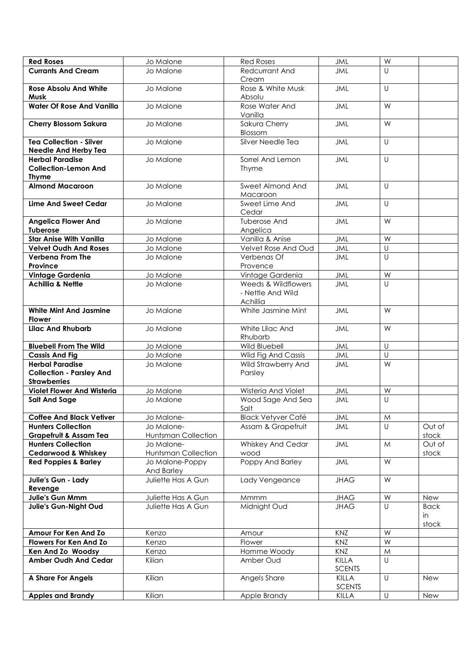| <b>Red Roses</b>                  | Jo Malone                         | <b>Red Roses</b>                           | JML           | W           |                 |
|-----------------------------------|-----------------------------------|--------------------------------------------|---------------|-------------|-----------------|
| <b>Currants And Cream</b>         | Jo Malone                         | Redcurrant And                             | <b>JML</b>    | U           |                 |
|                                   |                                   | Cream                                      |               |             |                 |
| <b>Rose Absolu And White</b>      | Jo Malone                         | Rose & White Musk                          | <b>JML</b>    | $\cup$      |                 |
| <b>Musk</b>                       |                                   | Absolu                                     |               |             |                 |
| <b>Water Of Rose And Vanilla</b>  | Jo Malone                         | Rose Water And                             | JML           | W           |                 |
|                                   |                                   | Vanilla                                    |               |             |                 |
| <b>Cherry Blossom Sakura</b>      | Jo Malone                         | Sakura Cherry                              | <b>JML</b>    | W           |                 |
|                                   |                                   | Blossom                                    |               |             |                 |
| <b>Tea Collection - Silver</b>    | Jo Malone                         | Silver Needle Tea                          | <b>JML</b>    | $\cup$      |                 |
| <b>Needle And Herby Tea</b>       |                                   |                                            |               |             |                 |
| <b>Herbal Paradise</b>            | Jo Malone                         | Sorrel And Lemon                           | <b>JML</b>    | $\cup$      |                 |
| <b>Collection-Lemon And</b>       |                                   | <b>Thyme</b>                               |               |             |                 |
| <b>Thyme</b>                      |                                   |                                            |               |             |                 |
| <b>Almond Macaroon</b>            | Jo Malone                         | Sweet Almond And                           | JML           | $\cup$      |                 |
|                                   |                                   | Macaroon                                   |               |             |                 |
| <b>Lime And Sweet Cedar</b>       | Jo Malone                         | Sweet Lime And                             | JML           | $\cup$      |                 |
|                                   |                                   | Cedar                                      |               |             |                 |
| <b>Angelica Flower And</b>        | Jo Malone                         | <b>Tuberose And</b>                        | <b>JML</b>    | W           |                 |
| <b>Tuberose</b>                   |                                   | Angelica                                   |               |             |                 |
| <b>Star Anise With Vanilla</b>    | Jo Malone                         | Vanilla & Anise                            | JML           | W           |                 |
| <b>Velvet Oudh And Roses</b>      | Jo Malone                         | Velvet Rose And Oud                        | JML           | $\cup$      |                 |
| <b>Verbena From The</b>           | Jo Malone                         | Verbenas Of                                | <b>JML</b>    | U           |                 |
| Province                          |                                   | Provence                                   |               |             |                 |
| <b>Vintage Gardenia</b>           | Jo Malone                         | Vintage Gardenia                           | JML           | W           |                 |
| <b>Achillia &amp; Nettle</b>      | Jo Malone                         | Weeds & Wildflowers                        | <b>JML</b>    | $\cup$      |                 |
|                                   |                                   | - Nettle And Wild                          |               |             |                 |
|                                   |                                   | Achillia                                   |               |             |                 |
| <b>White Mint And Jasmine</b>     | Jo Malone                         | White Jasmine Mint                         | <b>JML</b>    | W           |                 |
| <b>Flower</b>                     |                                   |                                            |               |             |                 |
| <b>Lilac And Rhubarb</b>          | Jo Malone                         | White Lilac And                            | JML           | W           |                 |
|                                   |                                   | Rhubarb                                    |               |             |                 |
| <b>Bluebell From The Wild</b>     | Jo Malone                         | Wild Bluebell                              | <b>JML</b>    | $\cup$      |                 |
| <b>Cassis And Fig</b>             | Jo Malone                         |                                            | JML           | U           |                 |
| <b>Herbal Paradise</b>            |                                   | Wild Fig And Cassis<br>Wild Strawberry And | <b>JML</b>    | W           |                 |
| <b>Collection - Parsley And</b>   | Jo Malone                         | Parsley                                    |               |             |                 |
| <b>Strawberries</b>               |                                   |                                            |               |             |                 |
| <b>Violet Flower And Wisteria</b> |                                   |                                            |               | W           |                 |
|                                   | Jo Malone                         | Wisteria And Violet                        | JML           | U           |                 |
| <b>Salt And Sage</b>              | Jo Malone                         | Wood Sage And Sea<br>Salt                  | <b>JML</b>    |             |                 |
| <b>Coffee And Black Vetiver</b>   |                                   | <b>Black Vetyver Café</b>                  | <b>JML</b>    |             |                 |
| <b>Hunters Collection</b>         | Jo Malone-<br>Jo Malone-          | Assam & Grapefruit                         | JML           | M<br>$\cup$ | Out of          |
| <b>Grapefruit &amp; Assam Tea</b> |                                   |                                            |               |             |                 |
| <b>Hunters Collection</b>         | Huntsman Collection<br>Jo Malone- | Whiskey And Cedar                          |               |             | stock<br>Out of |
| <b>Cedarwood &amp; Whiskey</b>    | Huntsman Collection               | wood                                       | JML           | M           | stock           |
| <b>Red Poppies &amp; Barley</b>   | Jo Malone-Poppy                   | Poppy And Barley                           | JML           | W           |                 |
|                                   | And Barley                        |                                            |               |             |                 |
| Julie's Gun - Lady                | Juliette Has A Gun                | Lady Vengeance                             | <b>JHAG</b>   | W           |                 |
| Revenge                           |                                   |                                            |               |             |                 |
| Julie's Gun Mmm                   | Juliette Has A Gun                | Mmmm                                       | <b>JHAG</b>   | W           | New             |
| Julie's Gun-Night Oud             | Juliette Has A Gun                | Midnight Oud                               | <b>JHAG</b>   | $\cup$      |                 |
|                                   |                                   |                                            |               |             | <b>Back</b>     |
|                                   |                                   |                                            |               |             | in.<br>stock    |
| Amour For Ken And Zo              | Kenzo                             | Amour                                      | KNZ           | W           |                 |
| Flowers For Ken And Zo            |                                   |                                            | KNZ           | W           |                 |
|                                   | Kenzo                             | Flower                                     | KNZ           |             |                 |
| Ken And Zo Woodsy                 | Kenzo                             | Homme Woody                                |               | M           |                 |
| <b>Amber Oudh And Cedar</b>       | Kilian                            | Amber Oud                                  | <b>KILLA</b>  | $\cup$      |                 |
|                                   |                                   |                                            | <b>SCENTS</b> |             |                 |
| A Share For Angels                | Kilian                            | Angels Share                               | <b>KILLA</b>  | $\cup$      | New             |
|                                   |                                   |                                            | <b>SCENTS</b> |             |                 |
| <b>Apples and Brandy</b>          | Kilian                            | Apple Brandy                               | KILLA         | U           | New             |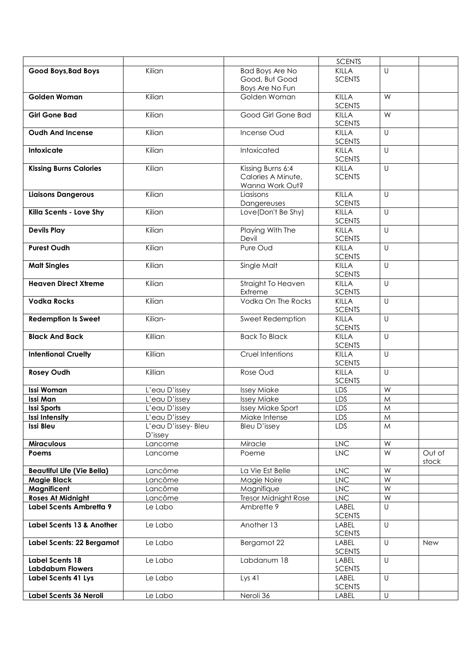|                                                   |                               |                                                            | <b>SCENTS</b>                 |           |                 |
|---------------------------------------------------|-------------------------------|------------------------------------------------------------|-------------------------------|-----------|-----------------|
| Good Boys, Bad Boys                               | Kilian                        | <b>Bad Boys Are No</b><br>Good, But Good                   | <b>KILLA</b><br><b>SCENTS</b> | U         |                 |
|                                                   |                               | Boys Are No Fun                                            |                               |           |                 |
| <b>Golden Woman</b>                               | Kilian                        | Golden Woman                                               | <b>KILLA</b><br><b>SCENTS</b> | W         |                 |
| <b>Girl Gone Bad</b>                              | Kilian                        | Good Girl Gone Bad                                         | <b>KILLA</b><br><b>SCENTS</b> | W         |                 |
| <b>Oudh And Incense</b>                           | Kilian                        | Incense Oud                                                | <b>KILLA</b><br><b>SCENTS</b> | U         |                 |
| Intoxicate                                        | Kilian                        | Intoxicated                                                | <b>KILLA</b><br><b>SCENTS</b> | U         |                 |
| <b>Kissing Burns Calories</b>                     | Kilian                        | Kissing Burns 6:4<br>Calories A Minute,<br>Wanna Work Out? | <b>KILLA</b><br><b>SCENTS</b> | U         |                 |
| <b>Liaisons Dangerous</b>                         | Kilian                        | Liasisons<br>Dangereuses                                   | <b>KILLA</b><br><b>SCENTS</b> | $\cup$    |                 |
| Killa Scents - Love Shy                           | Kilian                        | Love(Don't Be Shy)                                         | <b>KILLA</b><br><b>SCENTS</b> | U         |                 |
| <b>Devils Play</b>                                | Kilian                        | Playing With The<br>Devil                                  | <b>KILLA</b><br><b>SCENTS</b> | U         |                 |
| <b>Purest Oudh</b>                                | Kilian                        | Pure Oud                                                   | <b>KILLA</b><br><b>SCENTS</b> | $\cup$    |                 |
| <b>Malt Singles</b>                               | Kilian                        | Single Malt                                                | <b>KILLA</b><br><b>SCENTS</b> | $\cup$    |                 |
| <b>Heaven Direct Xtreme</b>                       | Kilian                        | Straight To Heaven<br>Extreme                              | <b>KILLA</b><br><b>SCENTS</b> | U         |                 |
| <b>Vodka Rocks</b>                                | Kilian                        | Vodka On The Rocks                                         | <b>KILLA</b><br><b>SCENTS</b> | $\cup$    |                 |
| <b>Redemption Is Sweet</b>                        | Kilian-                       | Sweet Redemption                                           | <b>KILLA</b><br><b>SCENTS</b> | U         |                 |
| <b>Black And Back</b>                             | Killian                       | <b>Back To Black</b>                                       | <b>KILLA</b><br><b>SCENTS</b> | $\cup$    |                 |
| <b>Intentional Cruelty</b>                        | Killian                       | Cruel Intentions                                           | <b>KILLA</b><br><b>SCENTS</b> | U         |                 |
| <b>Rosey Oudh</b>                                 | Killian                       | Rose Oud                                                   | <b>KILLA</b><br><b>SCENTS</b> | U         |                 |
| <b>Issi Woman</b>                                 | L'eau D'issey                 | <b>Issey Miake</b>                                         | <b>LDS</b>                    | W         |                 |
| Issi Man                                          | L'eau D'issey                 | <b>Issey Miake</b>                                         | LDS                           | M         |                 |
| Issi Sports                                       | L'eau D'issey                 | Issey Miake Sport                                          | LDS                           | ${\sf M}$ |                 |
| Issi Intensity                                    | L'eau D'issey                 | Miake Intense                                              | LDS                           | M         |                 |
| <b>Issi Bleu</b>                                  | L'eau D'issey-Bleu<br>D'issey | Bleu D'issey                                               | LDS                           | M         |                 |
| <b>Miraculous</b>                                 | Lancome                       | Miracle                                                    | <b>LNC</b>                    | W         |                 |
| Poems                                             | Lancome                       | Poeme                                                      | <b>LNC</b>                    | W         | Out of<br>stock |
| <b>Beautiful Life (Vie Bella)</b>                 | Lancôme                       | La Vie Est Belle                                           | <b>LNC</b>                    | W         |                 |
| <b>Magie Black</b>                                | Lancôme                       | Magie Noire                                                | <b>LNC</b>                    | W         |                 |
| Magnificent                                       | Lancôme                       | Magnifique                                                 | <b>LNC</b>                    | W         |                 |
| <b>Roses At Midnight</b>                          | Lancôme                       | Tresor Midnight Rose                                       | <b>LNC</b>                    | W         |                 |
| Label Scents Ambretta 9                           | Le Labo                       | Ambrette 9                                                 | LABEL<br><b>SCENTS</b>        | U         |                 |
| Label Scents 13 & Another                         | Le Labo                       | Another 13                                                 | LABEL<br><b>SCENTS</b>        | U         |                 |
| Label Scents: 22 Bergamot                         | Le Labo                       | Bergamot 22                                                | LABEL<br><b>SCENTS</b>        | U         | New             |
| <b>Label Scents 18</b><br><b>Labdabum Flowers</b> | Le Labo                       | Labdanum 18                                                | LABEL<br><b>SCENTS</b>        | U         |                 |
| Label Scents 41 Lys                               | Le Labo                       | Lys $41$                                                   | LABEL<br><b>SCENTS</b>        | U         |                 |
| Label Scents 36 Neroli                            | Le Labo                       | Neroli 36                                                  | LABEL                         | U         |                 |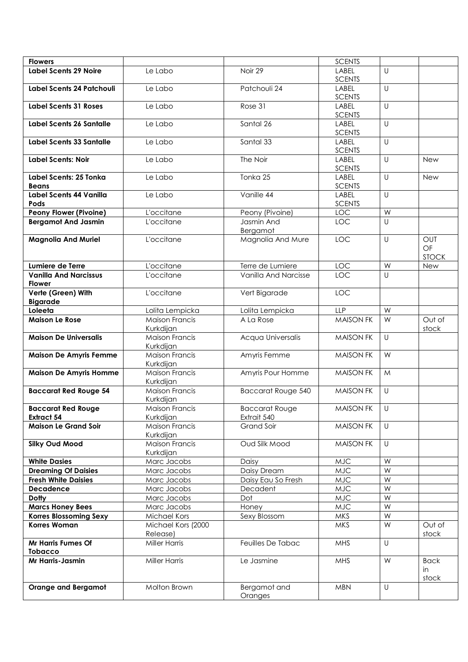| <b>Flowers</b>                     |                       |                           | <b>SCENTS</b>    |                   |              |
|------------------------------------|-----------------------|---------------------------|------------------|-------------------|--------------|
| <b>Label Scents 29 Noire</b>       | Le Labo               | Noir 29                   | <b>LABEL</b>     | U                 |              |
|                                    |                       |                           | <b>SCENTS</b>    |                   |              |
| Label Scents 24 Patchouli          | Le Labo               | Patchouli 24              | <b>LABEL</b>     | $\cup$            |              |
|                                    |                       |                           | <b>SCENTS</b>    |                   |              |
| <b>Label Scents 31 Roses</b>       | Le Labo               | Rose 31                   | <b>LABEL</b>     | $\cup$            |              |
|                                    |                       |                           | <b>SCENTS</b>    |                   |              |
| Label Scents 26 Santalle           | Le Labo               | Santal 26                 | <b>LABEL</b>     | $\cup$            |              |
|                                    |                       |                           | <b>SCENTS</b>    |                   |              |
| Label Scents 33 Santalle           | Le Labo               | Santal 33                 | <b>LABEL</b>     | $\cup$            |              |
|                                    |                       |                           | <b>SCENTS</b>    |                   |              |
| <b>Label Scents: Noir</b>          | Le Labo               | The Noir                  | <b>LABEL</b>     | $\cup$            | <b>New</b>   |
|                                    |                       |                           | <b>SCENTS</b>    |                   |              |
| Label Scents: 25 Tonka             | Le Labo               | Tonka 25                  | <b>LABEL</b>     | $\cup$            | <b>New</b>   |
| Beans                              |                       |                           | <b>SCENTS</b>    |                   |              |
| Label Scents 44 Vanilla            | Le Labo               | Vanille 44                | <b>LABEL</b>     | $\cup$            |              |
| Pods                               |                       |                           | <b>SCENTS</b>    |                   |              |
| <b>Peony Flower (Pivoine)</b>      | L'occitane            | Peony (Pivoine)           | <b>LOC</b>       | W                 |              |
| <b>Bergamot And Jasmin</b>         | L'occitane            | Jasmin And                | <b>LOC</b>       | U                 |              |
|                                    |                       | Bergamot                  |                  |                   |              |
| <b>Magnolia And Muriel</b>         | L'occitane            | Magnolia And Mure         | <b>LOC</b>       | $\cup$            | OUT          |
|                                    |                       |                           |                  |                   | OF           |
|                                    |                       |                           |                  |                   | <b>STOCK</b> |
| Lumiere de Terre                   | L'occitane            | Terre de Lumiere          | <b>LOC</b>       | W                 | <b>New</b>   |
| <b>Vanilla And Narcissus</b>       | L'occitane            | Vanilla And Narcisse      | LOC              | $\cup$            |              |
| <b>Flower</b>                      |                       |                           |                  |                   |              |
| Verte (Green) With                 | L'occitane            | Vert Bigarade             | <b>LOC</b>       |                   |              |
| <b>Bigarade</b>                    |                       |                           |                  |                   |              |
| Loleeta                            | Lolita Lempicka       | Lolita Lempicka           | <b>LLP</b>       | W                 |              |
| <b>Maison Le Rose</b>              | <b>Maison Francis</b> | A La Rose                 | <b>MAISON FK</b> | W                 | Out of       |
|                                    | Kurkdijan             |                           |                  |                   | stock        |
| <b>Maison De Universalis</b>       | <b>Maison Francis</b> | Acqua Universalis         | <b>MAISON FK</b> | $\cup$            |              |
|                                    | Kurkdijan             |                           |                  |                   |              |
| <b>Maison De Amyris Femme</b>      | <b>Maison Francis</b> | Amyris Femme              | <b>MAISON FK</b> | W                 |              |
|                                    | Kurkdijan             |                           |                  |                   |              |
| <b>Maison De Amyris Homme</b>      | <b>Maison Francis</b> | Amyris Pour Homme         | <b>MAISON FK</b> | M                 |              |
|                                    | Kurkdijan             |                           |                  |                   |              |
| <b>Baccarat Red Rouge 54</b>       | Maison Francis        | <b>Baccarat Rouge 540</b> | <b>MAISON FK</b> | $\cup$            |              |
|                                    | Kurkdijan             |                           |                  |                   |              |
| <b>Baccarat Red Rouge</b>          | Maison Francis        | <b>Baccarat Rouge</b>     | <b>MAISON FK</b> | $\overline{\cup}$ |              |
| <b>Extract 54</b>                  | Kurkdijan             | Extrait 540               |                  |                   |              |
| <b>Maison Le Grand Soir</b>        | <b>Maison Francis</b> | Grand Soir                | <b>MAISON FK</b> | $\cup$            |              |
|                                    | Kurkdijan             |                           |                  |                   |              |
| <b>Silky Oud Mood</b>              | Maison Francis        | Oud Silk Mood             | <b>MAISON FK</b> | U                 |              |
|                                    | Kurkdijan             |                           |                  |                   |              |
| <b>White Dasies</b>                | Marc Jacobs           | Daisy                     | <b>MJC</b>       | W                 |              |
| <b>Dreaming Of Daisies</b>         | Marc Jacobs           | Daisy Dream               | <b>MJC</b>       | W                 |              |
| <b>Fresh White Daisies</b>         | Marc Jacobs           | Daisy Eau So Fresh        | <b>MJC</b>       | W                 |              |
| <b>Decadence</b>                   | Marc Jacobs           | Decadent                  | <b>MJC</b>       | W                 |              |
| <b>Dotty</b>                       | Marc Jacobs           | Dot                       | <b>MJC</b>       | W                 |              |
| <b>Marcs Honey Bees</b>            | Marc Jacobs           | Honey                     | <b>MJC</b>       | W                 |              |
| <b>Korres Blossoming Sexy</b>      | Michael Kors          | Sexy Blossom              | <b>MKS</b>       | W                 |              |
| <b>Korres Woman</b>                |                       |                           | <b>MKS</b>       | W                 | Out of       |
|                                    | Michael Kors (2000    |                           |                  |                   |              |
|                                    | Release)              |                           |                  |                   | stock        |
| Mr Harris Fumes Of                 | <b>Miller Harris</b>  | Feuilles De Tabac         | <b>MHS</b>       | U                 |              |
| <b>Tobacco</b><br>Mr Harris-Jasmin |                       |                           |                  |                   |              |
|                                    | <b>Miller Harris</b>  | Le Jasmine                | <b>MHS</b>       | W                 | <b>Back</b>  |
|                                    |                       |                           |                  |                   | in           |
|                                    |                       |                           |                  |                   | stock        |
| <b>Orange and Bergamot</b>         | Molton Brown          | Bergamot and              | <b>MBN</b>       | U                 |              |
|                                    |                       | Oranges                   |                  |                   |              |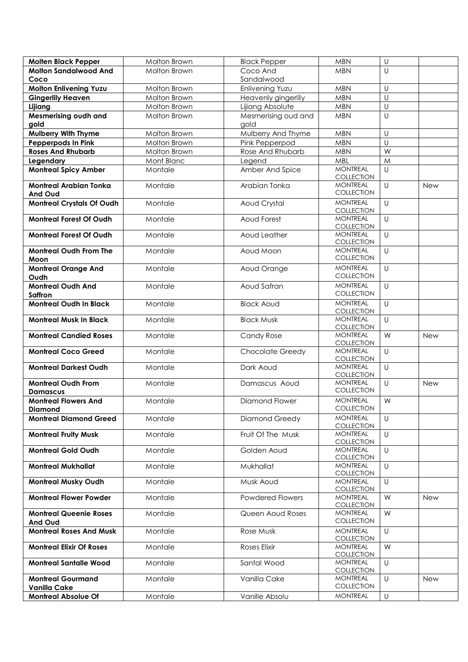| <b>Molten Black Pepper</b>       | Molton Brown | <b>Black Pepper</b>   | <b>MBN</b>                           | U                       |            |
|----------------------------------|--------------|-----------------------|--------------------------------------|-------------------------|------------|
| <b>Molton Sandalwood And</b>     | Molton Brown | Coco And              | <b>MBN</b>                           | $\cup$                  |            |
| Coco                             |              | Sandalwood            |                                      |                         |            |
| <b>Molton Enlivening Yuzu</b>    | Molton Brown | Enlivening Yuzu       | <b>MBN</b>                           | U                       |            |
| <b>Gingerlily Heaven</b>         | Molton Brown | Heavenly gingerlily   | <b>MBN</b>                           | $\cup$                  |            |
| Lijiang                          | Molton Brown | Lijiang Absolute      | <b>MBN</b>                           | U                       |            |
| Mesmerising oudh and             | Molton Brown | Mesmerising oud and   | <b>MBN</b>                           | $\cup$                  |            |
| gold                             |              | gold                  |                                      |                         |            |
| <b>Mulberry With Thyme</b>       | Molton Brown | Mulberry And Thyme    | <b>MBN</b>                           | U                       |            |
| Pepperpods In Pink               | Molton Brown | Pink Pepperpod        | <b>MBN</b>                           | U                       |            |
| <b>Roses And Rhubarb</b>         | Molton Brown | Rose And Rhubarb      | <b>MBN</b>                           | $\overline{\mathsf{W}}$ |            |
| Legendary                        | Mont Blanc   | Legend                | <b>MBL</b>                           | M                       |            |
| <b>Montreal Spicy Amber</b>      | Montale      | Amber And Spice       | <b>MONTREAL</b>                      | $\cup$                  |            |
|                                  |              |                       | COLLECTION                           |                         |            |
| <b>Montreal Arabian Tonka</b>    | Montale      | Arabian Tonka         | <b>MONTREAL</b>                      | U                       | <b>New</b> |
| <b>And Oud</b>                   |              |                       | <b>COLLECTION</b>                    |                         |            |
| <b>Montreal Crystals Of Oudh</b> | Montale      | Aoud Crystal          | <b>MONTREAL</b>                      | $\cup$                  |            |
|                                  |              |                       | COLLECTION                           |                         |            |
| <b>Montreal Forest Of Oudh</b>   | Montale      | Aoud Forest           | <b>MONTREAL</b>                      | $\cup$                  |            |
|                                  |              |                       | COLLECTION                           |                         |            |
| <b>Montreal Forest Of Oudh</b>   | Montale      | Aoud Leather          | <b>MONTREAL</b><br>COLLECTION        | $\cup$                  |            |
| <b>Montreal Oudh From The</b>    | Montale      | Aoud Moon             | <b>MONTREAL</b>                      | U                       |            |
| Moon                             |              |                       | <b>COLLECTION</b>                    |                         |            |
| <b>Montreal Orange And</b>       | Montale      | Aoud Orange           | <b>MONTREAL</b>                      | $\cup$                  |            |
| Oudh                             |              |                       | <b>COLLECTION</b>                    |                         |            |
| <b>Montreal Oudh And</b>         | Montale      | Aoud Safran           | <b>MONTREAL</b>                      | $\cup$                  |            |
| Saffron                          |              |                       | COLLECTION                           |                         |            |
| <b>Montreal Oudh In Black</b>    | Montale      | <b>Black Aoud</b>     | <b>MONTREAL</b>                      | $\cup$                  |            |
|                                  |              |                       | COLLECTION                           |                         |            |
| <b>Montreal Musk In Black</b>    | Montale      | <b>Black Musk</b>     | <b>MONTREAL</b>                      | $\cup$                  |            |
|                                  |              |                       | COLLECTION                           |                         |            |
| <b>Montreal Candied Roses</b>    | Montale      | Candy Rose            | <b>MONTREAL</b>                      | W                       | <b>New</b> |
|                                  |              |                       | COLLECTION                           |                         |            |
| <b>Montreal Coco Greed</b>       | Montale      | Chocolate Greedy      | <b>MONTREAL</b><br>COLLECTION        | $\cup$                  |            |
| <b>Montreal Darkest Oudh</b>     | Montale      | Dark Aoud             | <b>MONTREAL</b>                      | $\cup$                  |            |
|                                  |              |                       | COLLECTION                           |                         |            |
| <b>Montreal Oudh From</b>        | Montale      | Damascus Aoud         | <b>MONTREAL</b>                      | U                       | <b>New</b> |
| <b>Damascus</b>                  |              |                       | COLLECTION                           |                         |            |
| <b>Montreal Flowers And</b>      | Montale      | <b>Diamond Flower</b> | <b>MONTREAL</b>                      | W                       |            |
| Diamond                          |              |                       | COLLECTION                           |                         |            |
| <b>Montreal Diamond Greed</b>    | Montale      | Diamond Greedy        | <b>MONTREAL</b>                      | $\cup$                  |            |
|                                  |              |                       | <b>COLLECTION</b>                    |                         |            |
| <b>Montreal Fruity Musk</b>      | Montale      | Fruit Of The Musk     | <b>MONTREAL</b>                      | U                       |            |
|                                  |              |                       | <b>COLLECTION</b><br><b>MONTREAL</b> |                         |            |
| <b>Montreal Gold Oudh</b>        | Montale      | Golden Aoud           | COLLECTION                           | $\cup$                  |            |
| <b>Montreal Mukhallat</b>        | Montale      | Mukhallat             | <b>MONTREAL</b>                      | $\cup$                  |            |
|                                  |              |                       | <b>COLLECTION</b>                    |                         |            |
| <b>Montreal Musky Oudh</b>       | Montale      | Musk Aoud             | <b>MONTREAL</b>                      | U                       |            |
|                                  |              |                       | <b>COLLECTION</b>                    |                         |            |
| <b>Montreal Flower Powder</b>    | Montale      | Powdered Flowers      | <b>MONTREAL</b>                      | W                       | New        |
|                                  |              |                       | <b>COLLECTION</b>                    | W                       |            |
| <b>Montreal Queenie Roses</b>    | Montale      | Queen Aoud Roses      | <b>MONTREAL</b><br>COLLECTION        |                         |            |
| <b>And Oud</b>                   |              |                       | <b>MONTREAL</b>                      | $\cup$                  |            |
| <b>Montreal Roses And Musk</b>   | Montale      | Rose Musk             | <b>COLLECTION</b>                    |                         |            |
| <b>Montreal Elixir Of Roses</b>  | Montale      | Roses Elixir          | <b>MONTREAL</b>                      | W                       |            |
|                                  |              |                       | <b>COLLECTION</b>                    |                         |            |
| <b>Montreal Santalle Wood</b>    | Montale      | Santal Wood           | <b>MONTREAL</b>                      | U                       |            |
|                                  |              |                       | <b>COLLECTION</b>                    |                         |            |
| <b>Montreal Gourmand</b>         | Montale      | Vanilla Cake          | <b>MONTREAL</b>                      | $\cup$                  | <b>New</b> |
| Vanilla Cake                     |              |                       | <b>COLLECTION</b>                    |                         |            |
| <b>Montreal Absolue Of</b>       | Montale      | Vanille Absolu        | <b>MONTREAL</b>                      | U                       |            |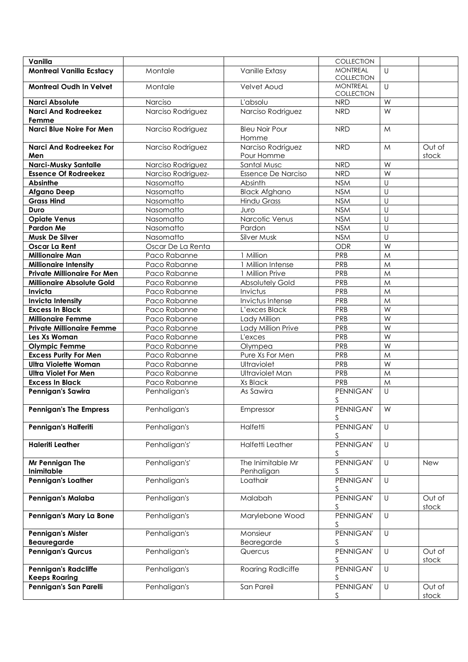| Vanilla                                             |                    |                                 | COLLECTION                    |                |                 |
|-----------------------------------------------------|--------------------|---------------------------------|-------------------------------|----------------|-----------------|
| <b>Montreal Vanilla Ecstacy</b>                     | Montale            | Vanille Extasy                  | <b>MONTREAL</b><br>COLLECTION | U              |                 |
| <b>Montreal Oudh In Velvet</b>                      | Montale            | Velvet Aoud                     | <b>MONTREAL</b><br>COLLECTION | $\cup$         |                 |
| Narci Absolute                                      | Narciso            | L'absolu                        | <b>NRD</b>                    | W              |                 |
| <b>Narci And Rodreekez</b>                          | Narciso Rodriguez  | Narciso Rodriguez               | <b>NRD</b>                    | W              |                 |
| Femme                                               |                    |                                 |                               |                |                 |
| Narci Blue Noire For Men                            | Narciso Rodriguez  | <b>Bleu Noir Pour</b><br>Homme  | <b>NRD</b>                    | M              |                 |
| <b>Narci And Rodreekez For</b><br>Men               | Narciso Rodriguez  | Narciso Rodriguez<br>Pour Homme | <b>NRD</b>                    | M              | Out of<br>stock |
| <b>Narci-Musky Santalle</b>                         | Narciso Rodriguez  | Santal Musc                     | <b>NRD</b>                    | W              |                 |
| <b>Essence Of Rodreekez</b>                         | Narciso Rodriguez- | Essence De Narciso              | <b>NRD</b>                    | W              |                 |
| <b>Absinthe</b>                                     | Nasomatto          | Absinth                         | <b>NSM</b>                    | U              |                 |
| <b>Afgano Deep</b>                                  | Nasomatto          | <b>Black Afghano</b>            | <b>NSM</b>                    | U              |                 |
| <b>Grass Hind</b>                                   | Nasomatto          | Hindu Grass                     | <b>NSM</b>                    | $\cup$         |                 |
| <b>Duro</b>                                         | Nasomatto          | Juro                            | <b>NSM</b>                    | $\cup$         |                 |
| <b>Opiate Venus</b>                                 | Nasomatto          | Narcotic Venus                  | <b>NSM</b>                    | U              |                 |
| <b>Pardon Me</b>                                    | Nasomatto          | Pardon                          | <b>NSM</b>                    | U              |                 |
| Musk De Silver                                      | Nasomatto          | Silver Musk                     | <b>NSM</b>                    | $\cup$         |                 |
| <b>Oscar La Rent</b>                                | Oscar De La Renta  |                                 | ODR                           | W              |                 |
| <b>Millionaire Man</b>                              | Paco Rabanne       | 1 Million                       | PRB                           | M              |                 |
| <b>Millionaire Intensity</b>                        | Paco Rabanne       | 1 Million Intense               | PRB                           | M              |                 |
| <b>Private Millionaire For Men</b>                  | Paco Rabanne       | 1 Million Prive                 | PRB                           | M              |                 |
| <b>Millionaire Absolute Gold</b>                    |                    |                                 | PRB                           | M              |                 |
| Invicta                                             | Paco Rabanne       | Absolutely Gold<br>Invictus     | PRB                           | M              |                 |
|                                                     | Paco Rabanne       |                                 | PRB                           |                |                 |
| <b>Invicta Intensity</b>                            | Paco Rabanne       | Invictus Intense                |                               | M<br>W         |                 |
| <b>Excess In Black</b>                              | Paco Rabanne       | L'exces Black                   | PRB<br>PRB                    | W              |                 |
| <b>Millionaire Femme</b>                            | Paco Rabanne       | Lady Million                    |                               | W              |                 |
| <b>Private Millionaire Femme</b>                    | Paco Rabanne       | Lady Million Prive              | PRB                           |                |                 |
| Les Xs Woman                                        | Paco Rabanne       | L'exces                         | PRB                           | W              |                 |
| <b>Olympic Femme</b>                                | Paco Rabanne       | Olympea                         | PRB                           | W              |                 |
| <b>Excess Purity For Men</b>                        | Paco Rabanne       | Pure Xs For Men                 | PRB                           | M              |                 |
| <b>Ultra Violette Woman</b>                         | Paco Rabanne       | Ultraviolet                     | PRB                           | W              |                 |
| <b>Ultra Violet For Men</b>                         | Paco Rabanne       | Ultraviolet Man                 | PRB                           | M              |                 |
| <b>Excess In Black</b>                              | Paco Rabanne       | Xs Black                        | PRB                           | M              |                 |
| Pennigan's Sawira                                   | Penhaligan's       | As Sawira                       | PENNIGAN'<br>S                | $\cup$         |                 |
| <b>Pennigan's The Empress</b>                       | Penhaligan's       | Empressor                       | PENNIGAN'<br>S                | $\overline{w}$ |                 |
| Pennigan's Halferiti                                | Penhaligan's       | Halfetti                        | PENNIGAN'<br>S                | $\cup$         |                 |
| <b>Haleriti Leather</b>                             | Penhaligan's'      | Halfetti Leather                | PENNIGAN'<br>S                | $\cup$         |                 |
| Mr Pennigan The<br>Inimitable                       | Penhaligan's'      | The Inimitable Mr<br>Penhaligan | PENNIGAN'<br>S                | U              | <b>New</b>      |
| Pennigan's Loather                                  | Penhaligan's       | Loathair                        | PENNIGAN'<br>S                | $\cup$         |                 |
| Pennigan's Malaba                                   | Penhaligan's       | Malabah                         | PENNIGAN'<br>S                | $\cup$         | Out of<br>stock |
| Pennigan's Mary La Bone                             | Penhaligan's       | Marylebone Wood                 | PENNIGAN'<br>S                | $\cup$         |                 |
| <b>Pennigan's Mister</b><br><b>Beauregarde</b>      | Penhaligan's       | Monsieur<br>Bearegarde          | PENNIGAN'<br>S                | U              |                 |
| <b>Pennigan's Qurcus</b>                            | Penhaligan's       | Quercus                         | PENNIGAN'<br>S                | U              | Out of<br>stock |
| <b>Pennigan's Radcliffe</b><br><b>Keeps Roaring</b> | Penhaligan's       | Roaring Radlciffe               | PENNIGAN'<br>S                | $\cup$         |                 |
| Pennigan's San Parelli                              | Penhaligan's       | San Pareil                      | PENNIGAN'<br>S                | U              | Out of<br>stock |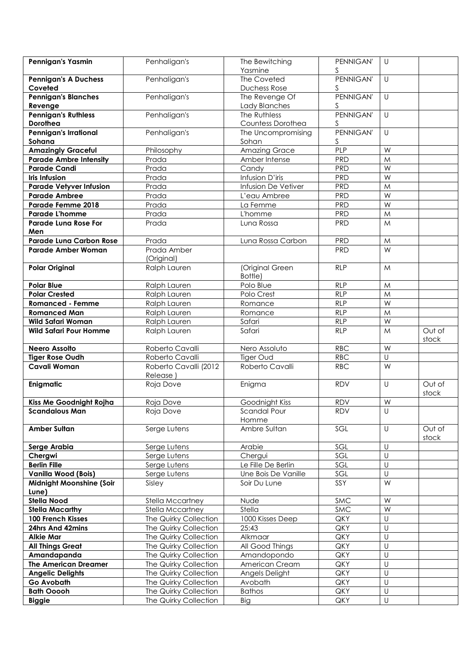| Pennigan's Yasmin              | Penhaligan's          | The Bewitching      | PENNIGAN'         | U                       |        |
|--------------------------------|-----------------------|---------------------|-------------------|-------------------------|--------|
|                                |                       | Yasmine             | S                 |                         |        |
| <b>Pennigan's A Duchess</b>    | Penhaligan's          | The Coveted         | PENNIGAN'         | $\cup$                  |        |
| Coveted                        |                       | <b>Duchess Rose</b> | S                 |                         |        |
| <b>Pennigan's Blanches</b>     | Penhaligan's          | The Revenge Of      | PENNIGAN'         | $\cup$                  |        |
| Revenge                        |                       | Lady Blanches       | S                 |                         |        |
| <b>Pennigan's Ruthless</b>     | Penhaligan's          | The Ruthless        | PENNIGAN'         | $\cup$                  |        |
| Dorothea                       |                       | Countess Dorothea   | S                 |                         |        |
| <b>Pennigan's Irrational</b>   | Penhaligan's          | The Uncompromising  | PENNIGAN'         | $\cup$                  |        |
| Sohana                         |                       | Sohan               | S                 |                         |        |
| <b>Amazingly Graceful</b>      | Philosophy            | Amazing Grace       | <b>PLP</b>        | W                       |        |
| <b>Parade Ambre Intensity</b>  | Prada                 | Amber Intense       | <b>PRD</b>        | M                       |        |
| <b>Parade Candi</b>            | Prada                 | Candy               | <b>PRD</b>        | W                       |        |
| <b>Iris Infusion</b>           | Prada                 | Infusion D'iris     | <b>PRD</b>        | W                       |        |
| <b>Parade Vetyver Infusion</b> | Prada                 | Infusion De Vetiver | <b>PRD</b>        | M                       |        |
| <b>Parade Ambree</b>           | Prada                 | L'eau Ambree        | <b>PRD</b>        | W                       |        |
| Parade Femme 2018              | Prada                 | La Femme            | <b>PRD</b>        | W                       |        |
| <b>Parade L'homme</b>          | Prada                 | L'homme             | PRD               | M                       |        |
| <b>Parade Luna Rose For</b>    | Prada                 | Luna Rossa          | <b>PRD</b>        | M                       |        |
| Men                            |                       |                     |                   |                         |        |
| <b>Parade Luna Carbon Rose</b> | Prada                 | Luna Rossa Carbon   | <b>PRD</b>        | M                       |        |
| <b>Parade Amber Woman</b>      | Prada Amber           |                     | <b>PRD</b>        | W                       |        |
|                                | (Original)            |                     |                   |                         |        |
| <b>Polar Original</b>          | Ralph Lauren          | (Original Green     | <b>RLP</b>        | M                       |        |
|                                |                       | Bottle)             |                   |                         |        |
| <b>Polar Blue</b>              | Ralph Lauren          | Polo Blue           | <b>RLP</b>        | M                       |        |
| <b>Polar Crested</b>           | Ralph Lauren          | Polo Crest          | RLP               | ${\sf M}$               |        |
| <b>Romanced - Femme</b>        | Ralph Lauren          | Romance             | <b>RLP</b>        | W                       |        |
| <b>Romanced Man</b>            | Ralph Lauren          | Romance             | <b>RLP</b>        | M                       |        |
| <b>Wild Safari Woman</b>       | Ralph Lauren          | Safari              | <b>RLP</b>        | W                       |        |
| <b>Wild Safari Pour Homme</b>  | Ralph Lauren          | Safari              | <b>RLP</b>        | M                       | Out of |
|                                |                       |                     |                   |                         | stock  |
| <b>Neero Assolto</b>           | Roberto Cavalli       | Nero Assoluto       | <b>RBC</b>        | W                       |        |
| <b>Tiger Rose Oudh</b>         | Roberto Cavalli       | <b>Tiger Oud</b>    | RBC               | $\cup$                  |        |
| Cavali Woman                   | Roberto Cavalli (2012 | Roberto Cavalli     | <b>RBC</b>        | W                       |        |
|                                | Release)              |                     |                   |                         |        |
| Enigmatic                      | Roja Dove             | Enigma              | <b>RDV</b>        | U                       | Out of |
|                                |                       |                     |                   |                         | stock  |
| Kiss Me Goodnight Rojha        | Roja Dove             | Goodnight Kiss      | <b>RDV</b>        | W                       |        |
| <b>Scandalous Man</b>          | Roja Dove             | Scandal Pour        | <b>RDV</b>        | $\overline{U}$          |        |
|                                |                       | Homme               |                   |                         |        |
| <b>Amber Sultan</b>            | Serge Lutens          | Ambre Sultan        | SGL               | $\cup$                  | Out of |
|                                |                       |                     |                   |                         | stock  |
| Serge Arabia                   | Serge Lutens          | Arabie              | SGL               | $\cup$                  |        |
| Chergwi                        | Serge Lutens          | Chergui             | SGL               | U                       |        |
| <b>Berlin Fille</b>            | Serge Lutens          | Le Fille De Berlin  | SGL               | $\cup$                  |        |
| Vanilla Wood (Bois)            | Serge Lutens          | Une Bois De Vanille | SGL               | U                       |        |
| Midnight Moonshine (Soir       | Sisley                | Soir Du Lune        | SSY               | W                       |        |
| Lune)                          |                       |                     |                   |                         |        |
| <b>Stella Nood</b>             | Stella Mccartney      | Nude                | <b>SMC</b>        | W                       |        |
| <b>Stella Macarthy</b>         | Stella Mccartney      | Stella              | SMC               | $\overline{\mathsf{W}}$ |        |
| 100 French Kisses              | The Quirky Collection | 1000 Kisses Deep    | <b>QKY</b>        | U                       |        |
| 24hrs And 42mins               | The Quirky Collection | 25:43               | <b>QKY</b>        | $\cup$                  |        |
| <b>Alkie Mar</b>               | The Quirky Collection | Alkmaar             | QKY               | $\cup$                  |        |
| <b>All Things Great</b>        | The Quirky Collection | All Good Things     | <b>QKY</b>        | U                       |        |
| Amandapanda                    | The Quirky Collection | Amandopondo         | QKY               | U                       |        |
| <b>The American Dreamer</b>    | The Quirky Collection | American Cream      | <b>QKY</b>        | U                       |        |
| <b>Angelic Delights</b>        | The Quirky Collection | Angels Delight      | <b>QKY</b>        | $\cup$                  |        |
| Go Avobath                     | The Quirky Collection | Avobath             | QKY               | U                       |        |
| <b>Bath Ooooh</b>              | The Quirky Collection |                     |                   | $\cup$                  |        |
|                                |                       | <b>Bathos</b>       | <b>QKY</b><br>QKY | $\cup$                  |        |
| <b>Biggie</b>                  | The Quirky Collection | <b>Big</b>          |                   |                         |        |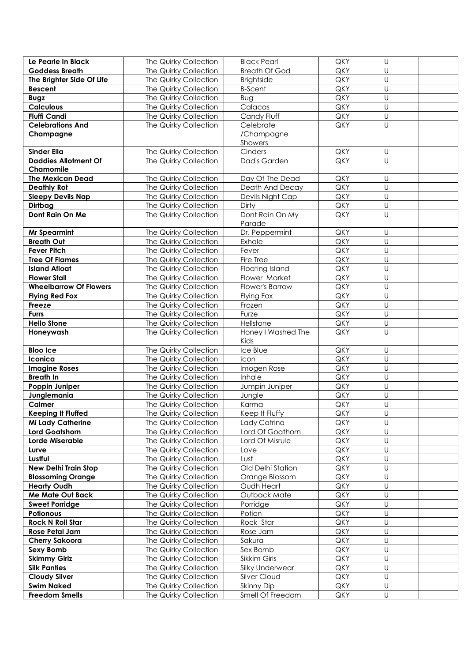| Le Pearle In Black                             | The Quirky Collection                          | <b>Black Pearl</b>           | QKY        | $\sf U$ |  |
|------------------------------------------------|------------------------------------------------|------------------------------|------------|---------|--|
| <b>Goddess Breath</b>                          | The Quirky Collection                          | <b>Breath Of God</b>         | QKY        | U       |  |
| The Brighter Side Of Life                      | The Quirky Collection                          | <b>Brightside</b>            | QKY        | U       |  |
| <b>Bescent</b>                                 | The Quirky Collection                          | <b>B-Scent</b>               | QKY        | U       |  |
| <b>Bugz</b>                                    | The Quirky Collection                          | Bug                          | QKY        | U       |  |
| <b>Calculous</b>                               | The Quirky Collection                          | Calacas                      | QKY        | U       |  |
| <b>Fluffi Candi</b>                            | The Quirky Collection                          | Candy Fluff                  | QKY        | U       |  |
| <b>Celebrations And</b>                        | The Quirky Collection                          | Celebrate                    | QKY        | U       |  |
| Champagne                                      |                                                | /Champagne                   |            |         |  |
|                                                |                                                | Showers                      |            |         |  |
| <b>Sinder Ella</b>                             | The Quirky Collection                          | Cinders                      | QKY        | U       |  |
| <b>Daddies Allotment Of</b>                    | The Quirky Collection                          | Dad's Garden                 | QKY        | U       |  |
| Chamomile                                      |                                                |                              |            |         |  |
| <b>The Mexican Dead</b>                        | The Quirky Collection                          | Day Of The Dead              | <b>QKY</b> | U       |  |
| <b>Deathly Rot</b>                             | The Quirky Collection                          | Death And Decay              | QKY        | U       |  |
| <b>Sleepy Devils Nap</b>                       | The Quirky Collection                          | Devils Night Cap             | QKY        | U       |  |
| Dirtbag                                        | The Quirky Collection                          | Dirty                        | QKY        | U       |  |
| Dont Rain On Me                                | The Quirky Collection                          | Dont Rain On My              | QKY        | $\cup$  |  |
|                                                |                                                | Parade                       |            |         |  |
| <b>Mr Spearmint</b>                            | The Quirky Collection                          | Dr. Peppermint               | QKY        | U       |  |
| <b>Breath Out</b>                              | The Quirky Collection                          | Exhale                       | QKY        | U       |  |
| <b>Fever Pitch</b>                             | The Quirky Collection                          | Fever                        | QKY        | $\cup$  |  |
| <b>Tree Of Flames</b>                          | The Quirky Collection                          | Fire Tree                    | QKY        | U       |  |
| <b>Island Afloat</b>                           | The Quirky Collection                          | <b>Floating Island</b>       | QKY        | U       |  |
| <b>Flower Stall</b>                            | The Quirky Collection                          | Flower Market                | QKY        | U       |  |
| <b>Wheelbarrow Of Flowers</b>                  | The Quirky Collection                          | Flower's Barrow              | QKY        | U       |  |
| <b>Flying Red Fox</b>                          | The Quirky Collection                          | Flying Fox                   | QKY        | U       |  |
| Freeze                                         | The Quirky Collection                          | Frozen                       | QKY        | U       |  |
| <b>Furrs</b>                                   | The Quirky Collection                          | Furze                        | QKY        | U       |  |
| <b>Hello Stone</b>                             | The Quirky Collection                          | Hellstone                    | QKY        | U       |  |
|                                                |                                                | Honey I Washed The           | QKY        | $\cup$  |  |
| Honeywash                                      | The Quirky Collection                          | <b>Kids</b>                  |            |         |  |
| <b>Bloo Ice</b>                                | The Quirky Collection                          | Ice Blue                     | <b>QKY</b> | U       |  |
| Iconica                                        | The Quirky Collection                          | Icon                         | QKY        | U       |  |
| <b>Imagine Roses</b>                           | The Quirky Collection                          | Imogen Rose                  | QKY        | U       |  |
| <b>Breath In</b>                               | The Quirky Collection                          | Inhale                       | QKY        | U       |  |
| Poppin Juniper                                 | The Quirky Collection                          | Jumpin Juniper               | QKY        | U       |  |
| Junglemania                                    | The Quirky Collection                          | Jungle                       | QKY        | U       |  |
| Calmer                                         | The Quirky Collection                          |                              | QKY        | U       |  |
| <b>Keeping It Fluffed</b>                      | The Quirky Collection                          | Karma<br>Keep It Fluffy      | QKY        | U       |  |
| <b>Mi Lady Catherine</b>                       | The Quirky Collection                          | Lady Catrina                 | <b>QKY</b> | U       |  |
| <b>Lord Goatshorn</b>                          | The Quirky Collection                          | Lord Of Goathorn             | QKY        | U       |  |
| <b>Lorde Miserable</b>                         | The Quirky Collection                          | Lord Of Misrule              | <b>QKY</b> | U       |  |
| Lurve                                          | The Quirky Collection                          |                              | <b>QKY</b> | U       |  |
| Lustful                                        | The Quirky Collection                          | Love<br>Lust                 | <b>QKY</b> | U       |  |
|                                                | The Quirky Collection                          | Old Delhi Station            | QKY        |         |  |
| <b>New Delhi Train Stop</b>                    |                                                |                              | QKY        | U<br>U  |  |
| <b>Blossoming Orange</b><br><b>Hearty Oudh</b> | The Quirky Collection                          | Orange Blossom<br>Oudh Heart |            | $\cup$  |  |
|                                                | The Quirky Collection                          | Outback Mate                 | QKY<br>QKY | U       |  |
| <b>Me Mate Out Back</b>                        | The Quirky Collection<br>The Quirky Collection |                              | <b>QKY</b> | U       |  |
| <b>Sweet Porridge</b>                          |                                                | Porridge                     |            |         |  |
| Potionous                                      | The Quirky Collection                          | Potion                       | <b>QKY</b> | U       |  |
| <b>Rock N Roll Star</b>                        | The Quirky Collection                          | Rock Star                    | <b>QKY</b> | U       |  |
| <b>Rose Petal Jam</b>                          | The Quirky Collection                          | Rose Jam                     | QKY        | U       |  |
| <b>Cherry Sakoora</b>                          | The Quirky Collection                          | Sakura                       | QKY        | U       |  |
| Sexy Bomb                                      | The Quirky Collection                          | Sex Bomb                     | QKY        | U       |  |
| <b>Skimmy Girlz</b>                            | The Quirky Collection                          | Sikkim Girls                 | QKY        | U       |  |
| <b>Silk Panties</b>                            | The Quirky Collection                          | Silky Underwear              | <b>QKY</b> | U       |  |
| <b>Cloudy Silver</b>                           | The Quirky Collection                          | Silver Cloud                 | <b>QKY</b> | U       |  |
| <b>Swim Naked</b>                              | The Quirky Collection                          | Skinny Dip                   | QKY        | U       |  |
| <b>Freedom Smells</b>                          | The Quirky Collection                          | Smell Of Freedom             | <b>QKY</b> | $\sf U$ |  |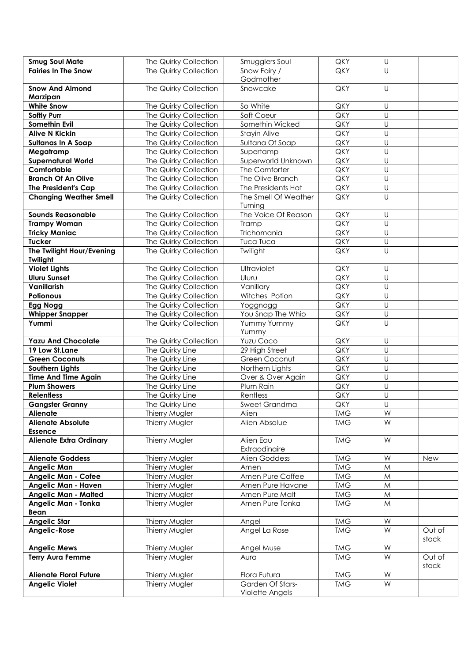| <b>Smug Soul Mate</b>          | The Quirky Collection | Smugglers Soul       | QKY        | $\cup$       |        |
|--------------------------------|-----------------------|----------------------|------------|--------------|--------|
| <b>Fairies In The Snow</b>     | The Quirky Collection | Snow Fairy /         | QKY        | $\cup$       |        |
|                                |                       | Godmother            |            |              |        |
| <b>Snow And Almond</b>         | The Quirky Collection | Snowcake             | <b>QKY</b> | $\cup$       |        |
| Marzipan                       |                       |                      |            |              |        |
| <b>White Snow</b>              | The Quirky Collection | So White             | QKY        | $\cup$       |        |
| <b>Softly Purr</b>             | The Quirky Collection | Soft Coeur           | QKY        | U            |        |
| Somethin Evil                  | The Quirky Collection | Somethin Wicked      | <b>QKY</b> | U            |        |
| <b>Alive N Kickin</b>          | The Quirky Collection | Stayin Alive         | <b>QKY</b> | U            |        |
| <b>Sultanas In A Soap</b>      | The Quirky Collection | Sultana Of Soap      | QKY        | U            |        |
| Megatramp                      | The Quirky Collection | Supertamp            | QKY        | U            |        |
| <b>Supernatural World</b>      | The Quirky Collection | Superworld Unknown   | QKY        | $\cup$       |        |
| Comfortable                    | The Quirky Collection | The Comforter        | QKY        | $\cup$       |        |
| <b>Branch Of An Olive</b>      | The Quirky Collection | The Olive Branch     | QKY        | U            |        |
| <b>The President's Cap</b>     | The Quirky Collection | The Presidents Hat   | QKY        | U            |        |
| <b>Changing Weather Smell</b>  | The Quirky Collection | The Smell Of Weather | <b>QKY</b> | U            |        |
|                                |                       | Turning              |            |              |        |
| <b>Sounds Reasonable</b>       | The Quirky Collection | The Voice Of Reason  | QKY        | U            |        |
| <b>Trampy Woman</b>            | The Quirky Collection | Tramp                | QKY        | U            |        |
| <b>Tricky Maniac</b>           | The Quirky Collection | Trichomania          | QKY        | U            |        |
| <b>Tucker</b>                  | The Quirky Collection | Tuca Tuca            | QKY        | $\cup$       |        |
| The Twilight Hour/Evening      | The Quirky Collection | Twilight             | <b>QKY</b> | U            |        |
| <b>Twilight</b>                |                       |                      |            |              |        |
| <b>Violet Lights</b>           | The Quirky Collection | Ultraviolet          | QKY        | $\cup$       |        |
| <b>Uluru Sunset</b>            | The Quirky Collection | Uluru                | QKY        | U            |        |
| Vanillarish                    | The Quirky Collection | Vanillary            | QKY        | U            |        |
| Potionous                      | The Quirky Collection | Witches Potion       | QKY        | U            |        |
|                                |                       |                      | QKY        | U            |        |
| Egg Nogg                       | The Quirky Collection | Yoggnogg             |            | $\cup$       |        |
| <b>Whipper Snapper</b>         | The Quirky Collection | You Snap The Whip    | QKY        |              |        |
| Yummi                          | The Quirky Collection | Yummy Yummy          | <b>QKY</b> | U            |        |
|                                |                       | Yummy                |            | $\cup$       |        |
| <b>Yazu And Chocolate</b>      | The Quirky Collection | Yuzu Coco            | QKY        |              |        |
| 19 Low St.Lane                 | The Quirky Line       | 29 High Street       | QKY        | U            |        |
| <b>Green Coconuts</b>          | The Quirky Line       | Green Coconut        | QKY        | U            |        |
| Southern Lights                | The Quirky Line       | Northern Lights      | QKY        | $\cup$       |        |
| <b>Time And Time Again</b>     | The Quirky Line       | Over & Over Again    | QKY        | U            |        |
| <b>Plum Showers</b>            | The Quirky Line       | Plum Rain            | QKY        | U            |        |
| <b>Relentless</b>              | The Quirky Line       | Rentless             | QKY        | $\cup$       |        |
| <b>Gangster Granny</b>         | The Quirky Line       | Sweet Grandma        | QKY        | U            |        |
| <b>Alienate</b>                | Thierry Mugler        | Alien                | <b>TMG</b> | W            |        |
| <b>Alienate Absolute</b>       | Thierry Mugler        | Alien Absolue        | <b>TMG</b> | W            |        |
| <b>Essence</b>                 |                       |                      |            |              |        |
| <b>Alienate Extra Ordinary</b> | Thierry Mugler        | Alien Eau            | <b>TMG</b> | W            |        |
|                                |                       | Extraodinaire        |            |              |        |
| <b>Alienate Goddess</b>        | Thierry Mugler        | Alien Goddess        | <b>TMG</b> | W            | New    |
| Angelic Man                    | Thierry Mugler        | Amen                 | <b>TMG</b> | M            |        |
| <b>Angelic Man - Cofee</b>     | Thierry Mugler        | Amen Pure Coffee     | <b>TMG</b> | M            |        |
| Angelic Man - Haven            | Thierry Mugler        | Amen Pure Havane     | <b>TMG</b> | M            |        |
| <b>Angelic Man - Malted</b>    | Thierry Mugler        | Amen Pure Malt       | <b>TMG</b> | $\mathsf{M}$ |        |
| Angelic Man - Tonka            | Thierry Mugler        | Amen Pure Tonka      | <b>TMG</b> | M            |        |
| Bean                           |                       |                      |            |              |        |
| <b>Angelic Star</b>            | Thierry Mugler        | Angel                | <b>TMG</b> | W            |        |
| Angelic-Rose                   | Thierry Mugler        | Angel La Rose        | <b>TMG</b> | W            | Out of |
|                                |                       |                      |            | W            | stock  |
| <b>Angelic Mews</b>            | Thierry Mugler        | Angel Muse           | <b>TMG</b> | W            |        |
| <b>Terry Aura Femme</b>        | Thierry Mugler        | Aura                 | <b>TMG</b> |              | Out of |
|                                |                       |                      |            | W            | stock  |
| <b>Alienate Floral Future</b>  | Thierry Mugler        | Flora Futura         | <b>TMG</b> | W            |        |
| <b>Angelic Violet</b>          | Thierry Mugler        | Garden Of Stars-     | <b>TMG</b> |              |        |
|                                |                       | Violette Angels      |            |              |        |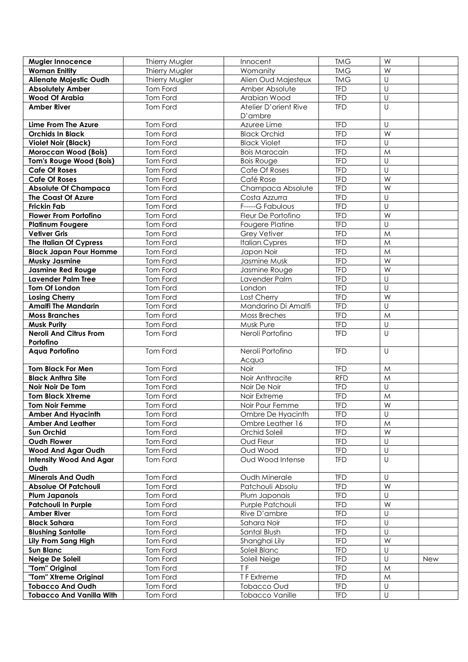| <b>Mugler Innocence</b>                                   | Thierry Mugler       | Innocent                         | <b>TMG</b> | W            |     |
|-----------------------------------------------------------|----------------------|----------------------------------|------------|--------------|-----|
| <b>Woman Enitity</b>                                      | Thierry Mugler       | Womanity                         | <b>TMG</b> | W            |     |
| <b>Alienate Majestic Oudh</b>                             | Thierry Mugler       | Alien Oud Majesteux              | <b>TMG</b> | U            |     |
| <b>Absolutely Amber</b>                                   | Tom Ford             | Amber Absolute                   | <b>TFD</b> | U            |     |
| <b>Wood Of Arabia</b>                                     | Tom Ford             | Arabian Wood                     | <b>TFD</b> | U            |     |
| <b>Amber River</b>                                        | Tom Ford             | Atelier D'orient Rive<br>D'ambre | <b>TFD</b> | U            |     |
| Lime From The Azure                                       | Tom Ford             | Azuree Lime                      | <b>TFD</b> | U            |     |
| <b>Orchids In Black</b>                                   | Tom Ford             | <b>Black Orchid</b>              | <b>TFD</b> | W            |     |
|                                                           |                      | <b>Black Violet</b>              | <b>TFD</b> | U            |     |
| <b>Violet Noir (Black)</b><br><b>Moroccan Wood (Bois)</b> | Tom Ford<br>Tom Ford | <b>Bois Marocain</b>             | <b>TFD</b> | $\mathsf{M}$ |     |
|                                                           |                      |                                  |            |              |     |
| Tom's Rouge Wood (Bois)                                   | Tom Ford             | <b>Bois Rouge</b>                | <b>TFD</b> | $\cup$       |     |
| <b>Cafe Of Roses</b>                                      | Tom Ford             | Cafe Of Roses                    | <b>TFD</b> | U            |     |
| <b>Cafe Of Roses</b>                                      | Tom Ford             | Café Rose                        | <b>TFD</b> | W            |     |
| <b>Absolute Of Champaca</b>                               | Tom Ford             | Champaca Absolute                | <b>TFD</b> | W            |     |
| <b>The Coast Of Azure</b>                                 | Tom Ford             | Costa Azzurra                    | <b>TFD</b> | U            |     |
| <b>Frickin Fab</b>                                        | Tom Ford             | F-----G Fabulous                 | <b>TFD</b> | U            |     |
| <b>Flower From Portofino</b>                              | Tom Ford             | Fleur De Portofino               | <b>TFD</b> | W            |     |
| <b>Platinum Fougere</b>                                   | Tom Ford             | Fougere Platine                  | <b>TFD</b> | U            |     |
| <b>Vetiver Gris</b>                                       | Tom Ford             | <b>Grey Vetiver</b>              | <b>TFD</b> | M            |     |
| The Italian Of Cypress                                    | Tom Ford             | <b>Italian Cypres</b>            | <b>TFD</b> | M            |     |
| <b>Black Japan Pour Homme</b>                             | Tom Ford             | Japon Noir                       | <b>TFD</b> | M            |     |
| <b>Musky Jasmine</b>                                      | Tom Ford             | Jasmine Musk                     | <b>TFD</b> | W            |     |
| <b>Jasmine Red Rouge</b>                                  | Tom Ford             | Jasmine Rouge                    | <b>TFD</b> | W            |     |
| <b>Lavender Palm Tree</b>                                 | Tom Ford             | Lavender Palm                    | <b>TFD</b> | U            |     |
| Tom Of London                                             | Tom Ford             | London                           | <b>TFD</b> | U            |     |
| <b>Losing Cherry</b>                                      | Tom Ford             | Lost Cherry                      | <b>TFD</b> | W            |     |
| <b>Amalfi The Mandarin</b>                                | Tom Ford             | Mandarino Di Amalfi              | <b>TFD</b> | U            |     |
| <b>Moss Branches</b>                                      | Tom Ford             | Moss Breches                     | <b>TFD</b> | $\mathsf{M}$ |     |
| <b>Musk Purity</b>                                        | Tom Ford             | Musk Pure                        | <b>TFD</b> | U            |     |
| <b>Neroli And Citrus From</b>                             | Tom Ford             | Neroli Portofino                 | <b>TFD</b> | U            |     |
| Portofino                                                 |                      |                                  |            |              |     |
| Aqua Portofino                                            | Tom Ford             | Neroli Portofino                 | <b>TFD</b> | $\cup$       |     |
|                                                           |                      | Acqua                            |            |              |     |
| <b>Tom Black For Men</b>                                  | Tom Ford             | Noir                             | <b>TFD</b> | M            |     |
| <b>Black Anthra Site</b>                                  | Tom Ford             | Noir Anthracite                  | <b>RFD</b> | M            |     |
| Noir Noir De Tom                                          | Tom Ford             | Noir De Noir                     | <b>TFD</b> | U            |     |
| <b>Tom Black Xtreme</b>                                   | Tom Ford             | Noir Extreme                     | <b>TFD</b> | M            |     |
| <b>Tom Noir Femme</b>                                     | Tom Ford             | Noir Pour Femme                  | <b>TFD</b> | W            |     |
| <b>Amber And Hyacinth</b>                                 | Tom Ford             | Ombre De Hyacinth                | <b>TFD</b> | U            |     |
| <b>Amber And Leather</b>                                  | Tom Ford             | Ombre Leather 16                 | <b>TFD</b> | M            |     |
| <b>Sun Orchid</b>                                         | Tom Ford             | Orchid Soleil                    | <b>TFD</b> | W            |     |
| <b>Oudh Flower</b>                                        | Tom Ford             | Oud Fleur                        | <b>TFD</b> | U            |     |
| <b>Wood And Agar Oudh</b>                                 | Tom Ford             | Oud Wood                         | <b>TFD</b> | $\cup$       |     |
| <b>Intensity Wood And Agar</b>                            | Tom Ford             | Oud Wood Intense                 | <b>TFD</b> | $\cup$       |     |
| Oudh                                                      |                      |                                  |            |              |     |
| <b>Minerals And Oudh</b>                                  | Tom Ford             | Oudh Minerale                    | <b>TFD</b> | U            |     |
| <b>Absolue Of Patchouli</b>                               | Tom Ford             | Patchouli Absolu                 | <b>TFD</b> | W            |     |
| <b>Plum Japanois</b>                                      | Tom Ford             | Plum Japonais                    | <b>TFD</b> | U            |     |
| <b>Patchouli In Purple</b>                                | Tom Ford             | Purple Patchouli                 | <b>TFD</b> | W            |     |
| <b>Amber River</b>                                        | Tom Ford             | Rive D'ambre                     | <b>TFD</b> | U            |     |
| <b>Black Sahara</b>                                       | Tom Ford             | Sahara Noir                      | <b>TFD</b> | U            |     |
| <b>Blushing Santalle</b>                                  | Tom Ford             | Santal Blush                     | <b>TFD</b> | U            |     |
| Lily From Sang High                                       | Tom Ford             | Shanghai Lily                    | <b>TFD</b> | W            |     |
| <b>Sun Blanc</b>                                          | Tom Ford             | Soleil Blanc                     | <b>TFD</b> | U            |     |
| Neige De Soleil                                           | Tom Ford             | Soleil Neige                     | <b>TFD</b> | $\cup$       | New |
| "Tom" Original                                            | Tom Ford             | <b>TF</b>                        | <b>TFD</b> | M            |     |
| "Tom" Xtreme Original                                     | Tom Ford             | T F Extreme                      | <b>TFD</b> | M            |     |
| <b>Tobacco And Oudh</b>                                   | Tom Ford             | Tobacco Oud                      | <b>TFD</b> | U            |     |
| <b>Tobacco And Vanilla With</b>                           | Tom Ford             | <b>Tobacco Vanille</b>           | <b>TFD</b> | $\sf U$      |     |
|                                                           |                      |                                  |            |              |     |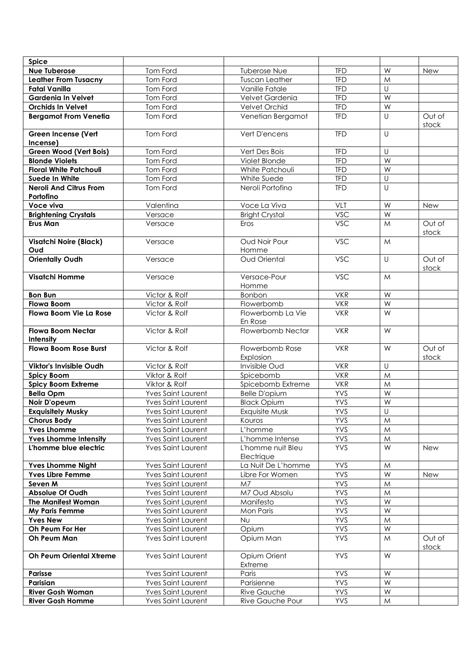| Spice                                  |                                                        |                                 |                   |              |                 |
|----------------------------------------|--------------------------------------------------------|---------------------------------|-------------------|--------------|-----------------|
| <b>Nue Tuberose</b>                    | Tom Ford                                               | <b>Tuberose Nue</b>             | <b>TFD</b>        | W            | <b>New</b>      |
| <b>Leather From Tusacny</b>            | Tom Ford                                               | <b>Tuscan Leather</b>           | <b>TFD</b>        | M            |                 |
| <b>Fatal Vanilla</b>                   | Tom Ford                                               | Vanille Fatale                  | <b>TFD</b>        | U            |                 |
| Gardenia In Velvet                     | Tom Ford                                               | Velvet Gardenia                 | <b>TFD</b>        | W            |                 |
| <b>Orchids In Velvet</b>               | Tom Ford                                               | Velvet Orchid                   | <b>TFD</b>        | W            |                 |
| <b>Bergamot From Venetia</b>           | Tom Ford                                               | Venetian Bergamot               | <b>TFD</b>        | U            | Out of<br>stock |
| <b>Green Incense (Vert</b><br>Incense) | Tom Ford                                               | Vert D'encens                   | <b>TFD</b>        | $\cup$       |                 |
| <b>Green Wood (Vert Bois)</b>          | Tom Ford                                               | Vert Des Bois                   | <b>TFD</b>        | U            |                 |
| <b>Blonde Violets</b>                  | Tom Ford                                               | Violet Blonde                   | <b>TFD</b>        | W            |                 |
| <b>Floral White Patchouli</b>          | Tom Ford                                               | White Patchouli                 | <b>TFD</b>        | W            |                 |
| Suede In White                         | Tom Ford                                               | White Suede                     | <b>TFD</b>        | U            |                 |
| <b>Neroli And Citrus From</b>          | Tom Ford                                               | Neroli Portofino                | <b>TFD</b>        | U            |                 |
| Portofino                              |                                                        |                                 |                   |              |                 |
| Voce viva                              | Valentina                                              | Voce La Viva                    | VLT               | W            | <b>New</b>      |
| <b>Brightening Crystals</b>            | Versace                                                | <b>Bright Crystal</b>           | <b>VSC</b>        | W            |                 |
| Erus Man                               | Versace                                                | Eros                            | <b>VSC</b>        | M            | Out of<br>stock |
| <b>Visatchi Noire (Black)</b><br>Oud   | Versace                                                | Oud Noir Pour<br>Homme          | <b>VSC</b>        | M            |                 |
| <b>Orientally Oudh</b>                 | Versace                                                | <b>Oud Oriental</b>             | <b>VSC</b>        | $\cup$       | Out of<br>stock |
| <b>Visatchi Homme</b>                  | Versace                                                | Versace-Pour<br>Homme           | <b>VSC</b>        | $\mathsf{M}$ |                 |
| <b>Bon Bun</b>                         | Victor & Rolf                                          | Bonbon                          | <b>VKR</b>        | W            |                 |
| <b>Flowa Boom</b>                      | Victor & Rolf                                          | Flowerbomb                      | <b>VKR</b>        | W            |                 |
| Flowa Boom Vie La Rose                 | Victor & Rolf                                          | Flowerbomb La Vie<br>En Rose    | <b>VKR</b>        | W            |                 |
| <b>Flowa Boom Nectar</b><br>Intensity  | Victor & Rolf                                          | <b>Flowerbomb Nectar</b>        | <b>VKR</b>        | W            |                 |
| <b>Flowa Boom Rose Burst</b>           | Victor & Rolf                                          | Flowerbomb Rose<br>Explosion    | <b>VKR</b>        | W            | Out of<br>stock |
| Viktor's Invisible Oudh                | Victor & Rolf                                          | Invisible Oud                   | <b>VKR</b>        | U            |                 |
| <b>Spicy Boom</b>                      | Viktor & Rolf                                          | Spicebomb                       | <b>VKR</b>        | $\mathsf{M}$ |                 |
| <b>Spicy Boom Extreme</b>              | Viktor & Rolf                                          | Spicebomb Extreme               | <b>VKR</b>        | M            |                 |
| <b>Bella Opm</b>                       | <b>Yves Saint Laurent</b>                              | <b>Belle D'opium</b>            | <b>YVS</b>        | W            |                 |
| Noir D'opeum                           | <b>Yves Saint Laurent</b>                              | <b>Black Opium</b>              | <b>YVS</b>        | W            |                 |
| <b>Exquisitely Musky</b>               | Yves Saint Laurent                                     | Exquisite Musk                  | YVS               | U            |                 |
| <b>Chorus Body</b>                     | <b>Yves Saint Laurent</b>                              | Kouros                          | <b>YVS</b>        | M            |                 |
| <b>Yves Lhomme</b>                     | <b>Yves Saint Laurent</b>                              | L'homme                         | YVS               | M            |                 |
| <b>Yves Lhomme Intensity</b>           | <b>Yves Saint Laurent</b>                              | L'homme Intense                 | <b>YVS</b>        | M            |                 |
| L'homme blue electric                  | <b>Yves Saint Laurent</b>                              | L'homme nuit Bleu<br>Electrique | <b>YVS</b>        | W            | <b>New</b>      |
| <b>Yves Lhomme Night</b>               | <b>Yves Saint Laurent</b>                              | La Nuit De L'homme              | YVS               | M            |                 |
| <b>Yves Libre Femme</b>                | <b>Yves Saint Laurent</b>                              | Libre For Women                 | <b>YVS</b>        | W            | New             |
| Seven M                                | <b>Yves Saint Laurent</b>                              | M7                              | YVS               | M            |                 |
| Absolue Of Oudh                        | <b>Yves Saint Laurent</b>                              | M7 Oud Absolu                   | YVS               | M            |                 |
| <b>The Manifest Woman</b>              | <b>Yves Saint Laurent</b>                              | Manifesto                       | <b>YVS</b>        | W            |                 |
| My Paris Femme                         | <b>Yves Saint Laurent</b>                              | Mon Paris                       | <b>YVS</b>        | W            |                 |
| <b>Yves New</b><br>Oh Peum For Her     | <b>Yves Saint Laurent</b>                              | Nυ                              | <b>YVS</b>        | M<br>W       |                 |
| <b>Oh Peum Man</b>                     | <b>Yves Saint Laurent</b><br><b>Yves Saint Laurent</b> | Opium<br>Opium Man              | YVS<br><b>YVS</b> | M            | Out of          |
|                                        |                                                        |                                 |                   |              | stock           |
| <b>Oh Peum Oriental Xtreme</b>         | <b>Yves Saint Laurent</b>                              | Opium Orient<br>Extreme         | <b>YVS</b>        | W            |                 |
| Parisse                                | <b>Yves Saint Laurent</b>                              | Paris                           | YVS               | W            |                 |
| Parisian                               | <b>Yves Saint Laurent</b>                              | Parisienne                      | <b>YVS</b>        | W            |                 |
| <b>River Gosh Woman</b>                | <b>Yves Saint Laurent</b>                              | <b>Rive Gauche</b>              | YVS               | W            |                 |
| <b>River Gosh Homme</b>                | <b>Yves Saint Laurent</b>                              | Rive Gauche Pour                | YVS               | M            |                 |